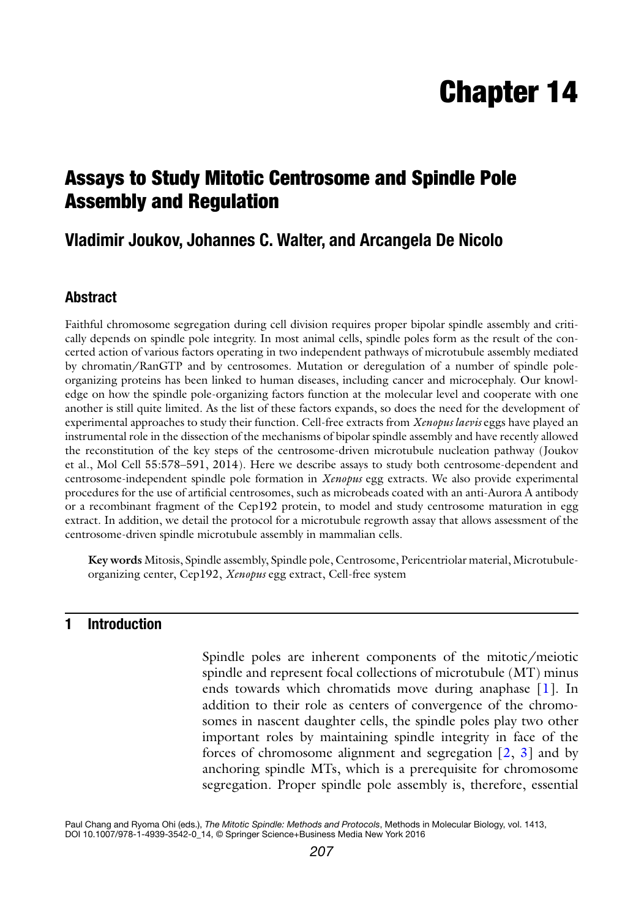# Chapter 14

# Assays to Study Mitotic Centrosome and Spindle Pole Assembly and Regulation

# **Vladimir Joukov, Johannes C. Walter, and Arcangela De Nicolo**

## **Abstract**

Faithful chromosome segregation during cell division requires proper bipolar spindle assembly and critically depends on spindle pole integrity. In most animal cells, spindle poles form as the result of the concerted action of various factors operating in two independent pathways of microtubule assembly mediated by chromatin/RanGTP and by centrosomes. Mutation or deregulation of a number of spindle poleorganizing proteins has been linked to human diseases, including cancer and microcephaly. Our knowledge on how the spindle pole-organizing factors function at the molecular level and cooperate with one another is still quite limited. As the list of these factors expands, so does the need for the development of experimental approaches to study their function. Cell-free extracts from *Xenopus laevis* eggs have played an instrumental role in the dissection of the mechanisms of bipolar spindle assembly and have recently allowed the reconstitution of the key steps of the centrosome-driven microtubule nucleation pathway (Joukov et al., Mol Cell 55:578–591, 2014). Here we describe assays to study both centrosome-dependent and centrosome-independent spindle pole formation in *Xenopus* egg extracts. We also provide experimental procedures for the use of artificial centrosomes, such as microbeads coated with an anti-Aurora A antibody or a recombinant fragment of the Cep192 protein, to model and study centrosome maturation in egg extract. In addition, we detail the protocol for a microtubule regrowth assay that allows assessment of the centrosome-driven spindle microtubule assembly in mammalian cells.

**Key words** Mitosis, Spindle assembly, Spindle pole, Centrosome, Pericentriolar material, Microtubuleorganizing center, Cep192, *Xenopus* egg extract, Cell-free system

# **1 Introduction**

Spindle poles are inherent components of the mitotic/meiotic spindle and represent focal collections of microtubule (MT) minus ends towards which chromatids move during anaphase [\[1](#page-27-0)]. In addition to their role as centers of convergence of the chromosomes in nascent daughter cells, the spindle poles play two other important roles by maintaining spindle integrity in face of the forces of chromosome alignment and segregation  $\lceil 2, 3 \rceil$  $\lceil 2, 3 \rceil$  $\lceil 2, 3 \rceil$  and by anchoring spindle MTs, which is a prerequisite for chromosome segregation. Proper spindle pole assembly is, therefore, essential

Paul Chang and Ryoma Ohi (eds.), *The Mitotic Spindle: Methods and Protocols*, Methods in Molecular Biology, vol. 1413, DOI 10.1007/978-1-4939-3542-0\_14, © Springer Science+Business Media New York 2016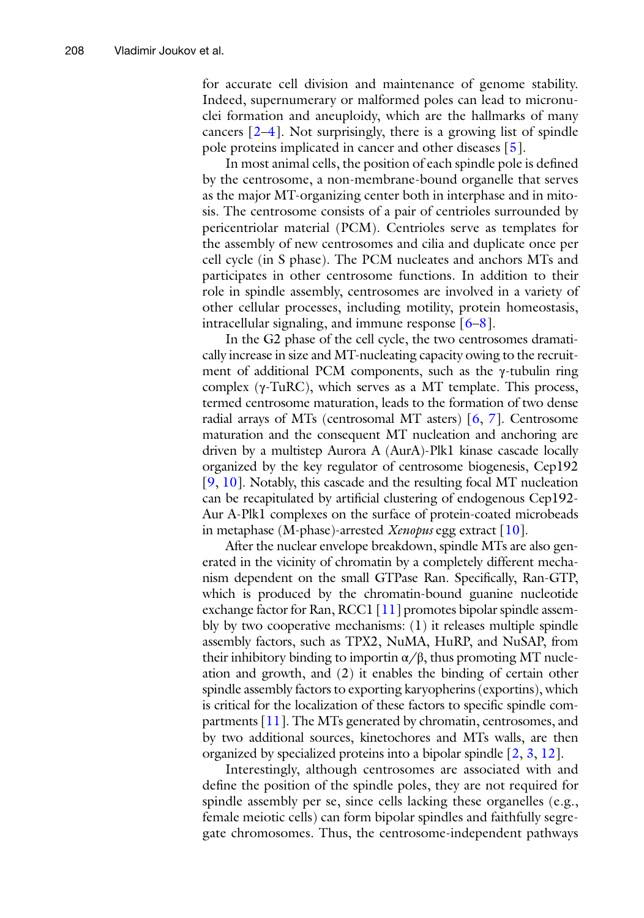for accurate cell division and maintenance of genome stability. Indeed, supernumerary or malformed poles can lead to micronu clei formation and aneuploidy, which are the hallmarks of many cancers  $[2-4]$  $[2-4]$  $[2-4]$  $[2-4]$ . Not surprisingly, there is a growing list of spindle pole proteins implicated in cancer and other diseases [ [5](#page-27-4)].

In most animal cells, the position of each spindle pole is defined by the centrosome, a non-membrane-bound organelle that serves as the major MT-organizing center both in interphase and in mito sis. The centrosome consists of a pair of centrioles surrounded by pericentriolar material (PCM). Centrioles serve as templates for the assembly of new centrosomes and cilia and duplicate once per cell cycle (in S phase). The PCM nucleates and anchors MTs and participates in other centrosome functions. In addition to their role in spindle assembly, centrosomes are involved in a variety of other cellular processes, including motility, protein homeostasis, intracellular signaling, and immune response [ [6](#page-27-5) – [8\]](#page-27-6).

In the G2 phase of the cell cycle, the two centrosomes dramati cally increase in size and MT-nucleating capacity owing to the recruit ment of additional PCM components, such as the γ-tubulin ring complex ( γ-TuRC), which serves as a MT template. This process, termed centrosome maturation, leads to the formation of two dense radial arrays of MTs (centrosomal MT asters) [ [6,](#page-27-5) [7\]](#page-27-7). Centrosome maturation and the consequent MT nucleation and anchoring are driven by a multistep Aurora A (AurA)-Plk1 kinase cascade locally organized by the key regulator of centrosome biogenesis, Cep192 [[9,](#page-27-8) [10\]](#page-27-9). Notably, this cascade and the resulting focal MT nucleation can be recapitulated by artificial clustering of endogenous Cep192- Aur A-Plk1 complexes on the surface of protein-coated microbeads in metaphase (M-phase)-arrested *Xenopus* egg extract [\[10](#page-27-9)].

After the nuclear envelope breakdown, spindle MTs are also gen erated in the vicinity of chromatin by a completely different mecha nism dependent on the small GTPase Ran. Specifically, Ran-GTP, which is produced by the chromatin-bound guanine nucleotide exchange factor for Ran, RCC1 [\[11](#page-27-10)] promotes bipolar spindle assembly by two cooperative mechanisms: (1) it releases multiple spindle assembly factors, such as TPX2, NuMA, HuRP, and NuSAP, from their inhibitory binding to importin  $\alpha/\beta$ , thus promoting MT nucleation and growth, and (2) it enables the binding of certain other spindle assembly factors to exporting karyopherins (exportins), which is critical for the localization of these factors to specific spindle com partments [[11\]](#page-27-10). The MTs generated by chromatin, centrosomes, and by two additional sources, kinetochores and MTs walls, are then organized by specialized proteins into a bipolar spindle [ [2](#page-27-1), [3](#page-27-2), [12](#page-27-11)].

Interestingly, although centrosomes are associated with and define the position of the spindle poles, they are not required for spindle assembly per se, since cells lacking these organelles (e.g., female meiotic cells) can form bipolar spindles and faithfully segre gate chromosomes. Thus, the centrosome-independent pathways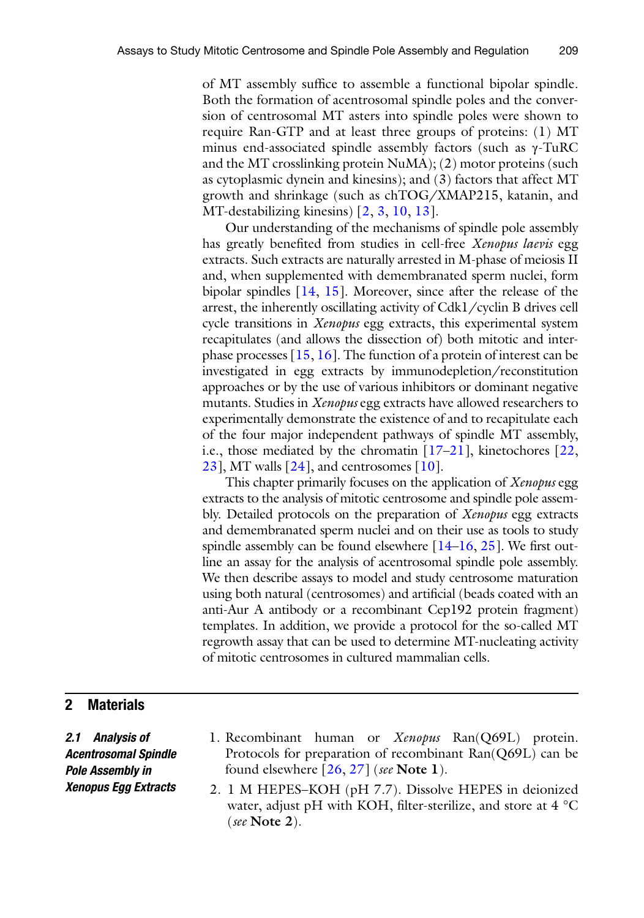of MT assembly suffice to assemble a functional bipolar spindle. Both the formation of acentrosomal spindle poles and the conversion of centrosomal MT asters into spindle poles were shown to require Ran-GTP and at least three groups of proteins: (1) MT minus end-associated spindle assembly factors (such as  $\gamma$ -TuRC and the MT crosslinking protein NuMA); (2) motor proteins (such as cytoplasmic dynein and kinesins); and (3) factors that affect MT growth and shrinkage (such as chTOG/XMAP215, katanin, and MT-destabilizing kinesins) [\[2,](#page-27-1) [3,](#page-27-2) [10](#page-27-9), [13](#page-27-12)].

Our understanding of the mechanisms of spindle pole assembly has greatly benefited from studies in cell-free *Xenopus laevis* egg extracts. Such extracts are naturally arrested in M-phase of meiosis II and, when supplemented with demembranated sperm nuclei, form bipolar spindles [\[14,](#page-27-13) [15](#page-27-14)]. Moreover, since after the release of the arrest, the inherently oscillating activity of Cdk1/cyclin B drives cell cycle transitions in *Xenopus* egg extracts, this experimental system recapitulates (and allows the dissection of) both mitotic and interphase processes [[15](#page-27-14), [16](#page-27-15)]. The function of a protein of interest can be investigated in egg extracts by immunodepletion/reconstitution approaches or by the use of various inhibitors or dominant negative mutants. Studies in *Xenopus* egg extracts have allowed researchers to experimentally demonstrate the existence of and to recapitulate each of the four major independent pathways of spindle MT assembly, i.e., those mediated by the chromatin [\[17–](#page-27-16)[21](#page-27-17)], kinetochores [\[22,](#page-27-18)  $23$ ], MT walls  $[24]$  $[24]$  $[24]$ , and centrosomes  $[10]$  $[10]$ .

This chapter primarily focuses on the application of *Xenopus* egg extracts to the analysis of mitotic centrosome and spindle pole assembly. Detailed protocols on the preparation of *Xenopus* egg extracts and demembranated sperm nuclei and on their use as tools to study spindle assembly can be found elsewhere [\[14–](#page-27-13)[16](#page-27-15), [25](#page-27-21)]. We first outline an assay for the analysis of acentrosomal spindle pole assembly. We then describe assays to model and study centrosome maturation using both natural (centrosomes) and artificial (beads coated with an anti-Aur A antibody or a recombinant Cep192 protein fragment) templates. In addition, we provide a protocol for the so-called MT regrowth assay that can be used to determine MT-nucleating activity of mitotic centrosomes in cultured mammalian cells.

#### **2 Materials**

*2.1 Analysis of Acentrosomal Spindle Pole Assembly in Xenopus Egg Extracts*

- <span id="page-2-0"></span>1. Recombinant human or *Xenopus* Ran(Q69L) protein. Protocols for preparation of recombinant Ran(Q69L) can be found elsewhere [\[26](#page-27-22), [27\]](#page-27-23) (*see* **Note 1**).
- 2. 1 M HEPES–KOH (pH 7.7). Dissolve HEPES in deionized water, adjust pH with KOH, filter-sterilize, and store at  $4^{\circ}$ C (*see* **Note 2**).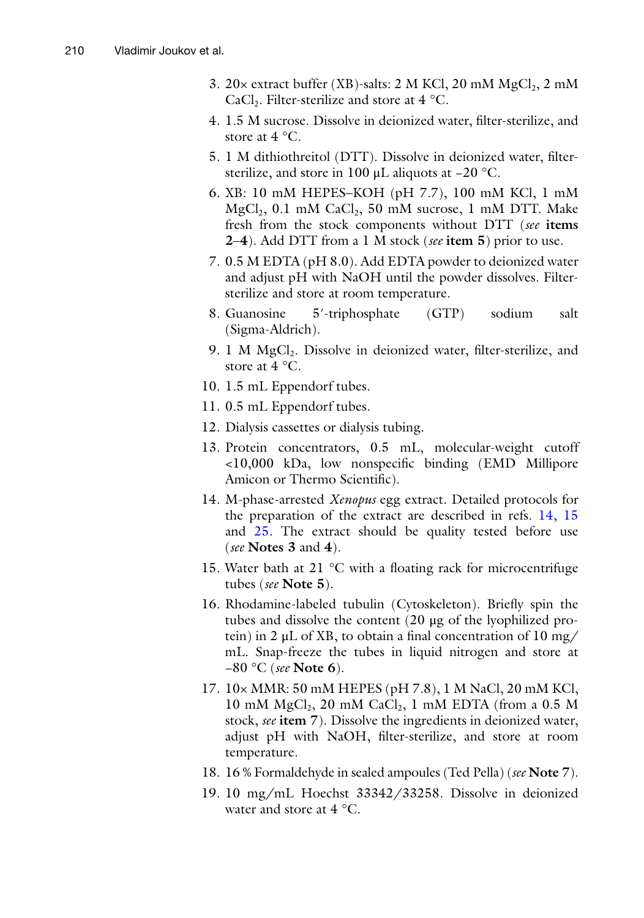- 3. 20 $\times$  extract buffer (XB)-salts: 2 M KCl, 20 mM  $MgCl<sub>2</sub>$ , 2 mM CaCl<sub>2</sub>. Filter-sterilize and store at  $4^{\circ}$ C.
- 4. 1.5 M sucrose. Dissolve in deionized water, filter-sterilize, and store at  $4^{\circ}$ C.
- 5. 1 M dithiothreitol (DTT). Dissolve in deionized water, filtersterilize, and store in 100 μL aliquots at −20 °C.
- 6. XB: 10 mM HEPES–KOH (pH 7.7), 100 mM KCl, 1 mM  $MgCl<sub>2</sub>$ , 0.1 mM CaCl<sub>2</sub>, 50 mM sucrose, 1 mM DTT. Make fresh from the stock components without DTT (*see* **items 2**–**4**). Add DTT from a 1 M stock (*see* **item 5**) prior to use.
- 7. 0.5 M EDTA (pH 8.0). Add EDTA powder to deionized water and adjust pH with NaOH until the powder dissolves. Filtersterilize and store at room temperature.
- 8. Guanosine 5′-triphosphate (GTP) sodium salt (Sigma-Aldrich).
- 9. 1 M MgCl<sub>2</sub>. Dissolve in deionized water, filter-sterilize, and store at 4 °C.
- 10. 1.5 mL Eppendorf tubes.
- 11. 0.5 mL Eppendorf tubes.
- 12. Dialysis cassettes or dialysis tubing.
- 13. Protein concentrators, 0.5 mL, molecular-weight cutoff <10,000 kDa, low nonspecific binding (EMD Millipore Amicon or Thermo Scientific).
- 14. M-phase-arrested *Xenopus* egg extract. Detailed protocols for the preparation of the extract are described in refs. [14,](#page-27-13) [15](#page-27-14) and [25](#page-27-21). The extract should be quality tested before use (*see* **Notes 3** and **4**).
- 15. Water bath at 21 °C with a floating rack for microcentrifuge tubes (*see* **Note 5**).
- 16. Rhodamine-labeled tubulin (Cytoskeleton). Briefly spin the tubes and dissolve the content (20 μg of the lyophilized protein) in 2 μL of XB, to obtain a final concentration of 10 mg/ mL. Snap-freeze the tubes in liquid nitrogen and store at −80 °C (*see* **Note 6**).
- 17. 10× MMR: 50 mM HEPES (pH 7.8), 1 M NaCl, 20 mM KCl, 10 mM  $MgCl<sub>2</sub>$ , 20 mM  $CaCl<sub>2</sub>$ , 1 mM EDTA (from a 0.5 M stock, *see* **item 7**). Dissolve the ingredients in deionized water, adjust pH with NaOH, filter-sterilize, and store at room temperature.
- 18. 16 % Formaldehyde in sealed ampoules (Ted Pella) (*see* **Note 7**).
- 19. 10 mg/mL Hoechst 33342/33258. Dissolve in deionized water and store at 4 °C.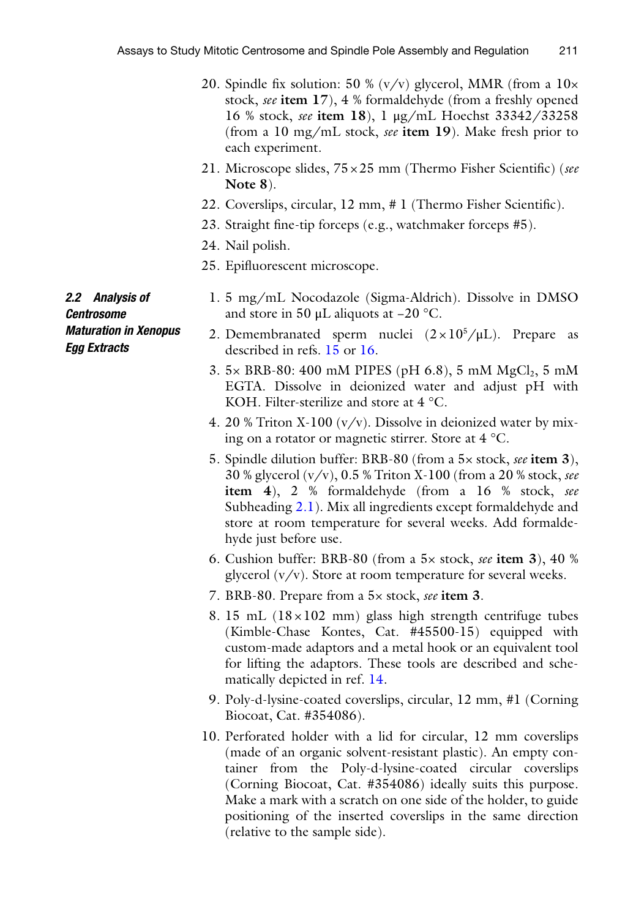- 20. Spindle fix solution: 50 %  $(v/v)$  glycerol, MMR (from a  $10\times$ stock, *see* **item 17**), 4 % formaldehyde (from a freshly opened 16 % stock, *see* **item 18**), 1 μg/mL Hoechst 33342/33258 (from a 10 mg/mL stock, *see* **item 19**). Make fresh prior to each experiment.
- 21. Microscope slides, 75×25 mm (Thermo Fisher Scientific) (*see* **Note 8**).
- 22. Coverslips, circular, 12 mm, # 1 (Thermo Fisher Scientific).
- 23. Straight fine-tip forceps (e.g., watchmaker forceps #5).
- 24. Nail polish.
- <span id="page-4-0"></span>25. Epifluorescent microscope.
- 1. 5 mg/mL Nocodazole (Sigma-Aldrich). Dissolve in DMSO and store in 50 μL aliquots at −20 °C.
	- 2. Demembranated sperm nuclei  $(2 \times 10^5/\mu L)$ . Prepare as described in refs. [15](#page-27-14) or [16.](#page-27-15)
	- 3.  $5 \times$  BRB-80: 400 mM PIPES (pH 6.8), 5 mM MgCl<sub>2</sub>, 5 mM EGTA. Dissolve in deionized water and adjust pH with KOH. Filter-sterilize and store at 4 °C.
	- 4. 20 % Triton X-100 ( $v/v$ ). Dissolve in deionized water by mixing on a rotator or magnetic stirrer. Store at 4 °C.
	- 5. Spindle dilution buffer: BRB-80 (from a 5× stock, *see* **item 3**), 30 % glycerol (v/v), 0.5 % Triton X-100 (from a 20 % stock, *see* **item 4**), 2 % formaldehyde (from a 16 % stock, *see* Subheading [2.1\)](#page-2-0). Mix all ingredients except formaldehyde and store at room temperature for several weeks. Add formaldehyde just before use.
	- 6. Cushion buffer: BRB-80 (from a 5× stock, *see* **item 3**), 40 % glycerol  $(v/v)$ . Store at room temperature for several weeks.
	- 7. BRB-80. Prepare from a 5× stock, *see* **item 3**.
	- 8. 15 mL  $(18\times102 \text{ mm})$  glass high strength centrifuge tubes (Kimble-Chase Kontes, Cat. #45500-15) equipped with custom-made adaptors and a metal hook or an equivalent tool for lifting the adaptors. These tools are described and schematically depicted in ref. [14.](#page-27-13)
	- 9. Poly-d-lysine-coated coverslips, circular, 12 mm, #1 (Corning Biocoat, Cat. #354086).
	- 10. Perforated holder with a lid for circular, 12 mm coverslips (made of an organic solvent-resistant plastic). An empty container from the Poly-d-lysine-coated circular coverslips (Corning Biocoat, Cat. #354086) ideally suits this purpose. Make a mark with a scratch on one side of the holder, to guide positioning of the inserted coverslips in the same direction (relative to the sample side).

*2.2 Analysis of Centrosome Maturation in Xenopus Egg Extracts*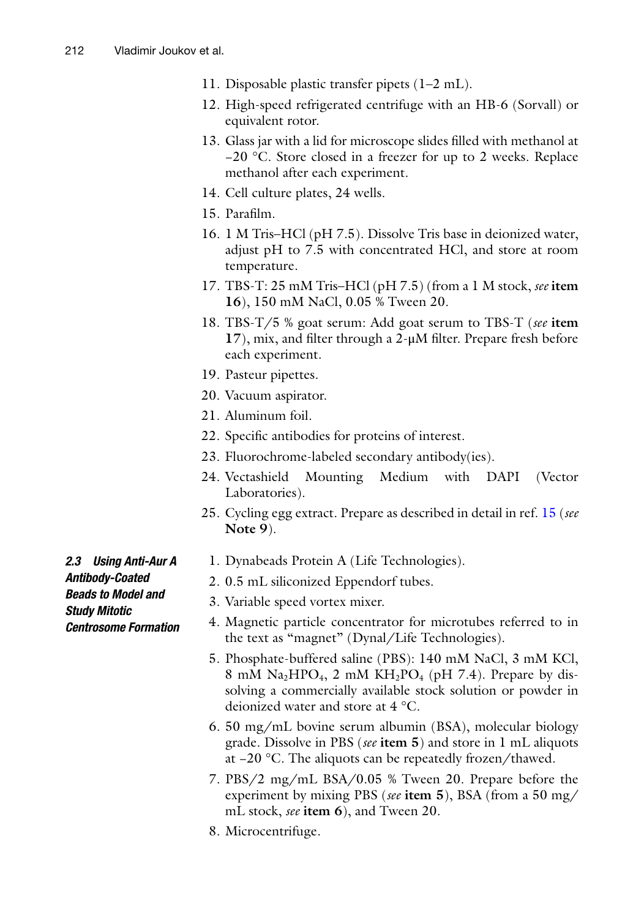- 11. Disposable plastic transfer pipets (1–2 mL).
- 12. High-speed refrigerated centrifuge with an HB-6 (Sorvall) or equivalent rotor.
- 13. Glass jar with a lid for microscope slides filled with methanol at −20 °C. Store closed in a freezer for up to 2 weeks. Replace methanol after each experiment.
- 14. Cell culture plates, 24 wells.
- 15. Parafilm.
- 16. 1 M Tris–HCl (pH 7.5). Dissolve Tris base in deionized water, adjust pH to 7.5 with concentrated HCl, and store at room temperature.
- 17. TBS-T: 25 mM Tris–HCl (pH 7.5) (from a 1 M stock, *see* **item 16**), 150 mM NaCl, 0.05 % Tween 20.
- 18. TBS-T/5 % goat serum: Add goat serum to TBS-T (*see* **item 17**), mix, and filter through a 2-μM filter. Prepare fresh before each experiment.
- 19. Pasteur pipettes.
- 20. Vacuum aspirator.
- 21. Aluminum foil.
- 22. Specific antibodies for proteins of interest.
- 23. Fluorochrome-labeled secondary antibody(ies).
- 24. Vectashield Mounting Medium with DAPI (Vector Laboratories).
- 25. Cycling egg extract. Prepare as described in detail in ref. [15](#page-27-14) (*see* **Note 9**).
- 1. Dynabeads Protein A (Life Technologies).
- <span id="page-5-0"></span>2. 0.5 mL siliconized Eppendorf tubes.
- 3. Variable speed vortex mixer.
- 4. Magnetic particle concentrator for microtubes referred to in the text as "magnet" (Dynal/Life Technologies).
- 5. Phosphate-buffered saline (PBS): 140 mM NaCl, 3 mM KCl, 8 mM  $\text{Na}_2\text{HPO}_4$ , 2 mM  $\text{KH}_2\text{PO}_4$  (pH 7.4). Prepare by dissolving a commercially available stock solution or powder in deionized water and store at 4 °C.
- 6. 50 mg/mL bovine serum albumin (BSA), molecular biology grade. Dissolve in PBS (*see* **item 5**) and store in 1 mL aliquots at −20 °C. The aliquots can be repeatedly frozen/thawed.
- 7. PBS/2 mg/mL BSA/0.05 % Tween 20. Prepare before the experiment by mixing PBS (*see* **item 5**), BSA (from a 50 mg/ mL stock, *see* **item 6**), and Tween 20.
- 8. Microcentrifuge.

*2.3 Using Anti-Aur A Antibody-Coated Beads to Model and Study Mitotic Centrosome Formation*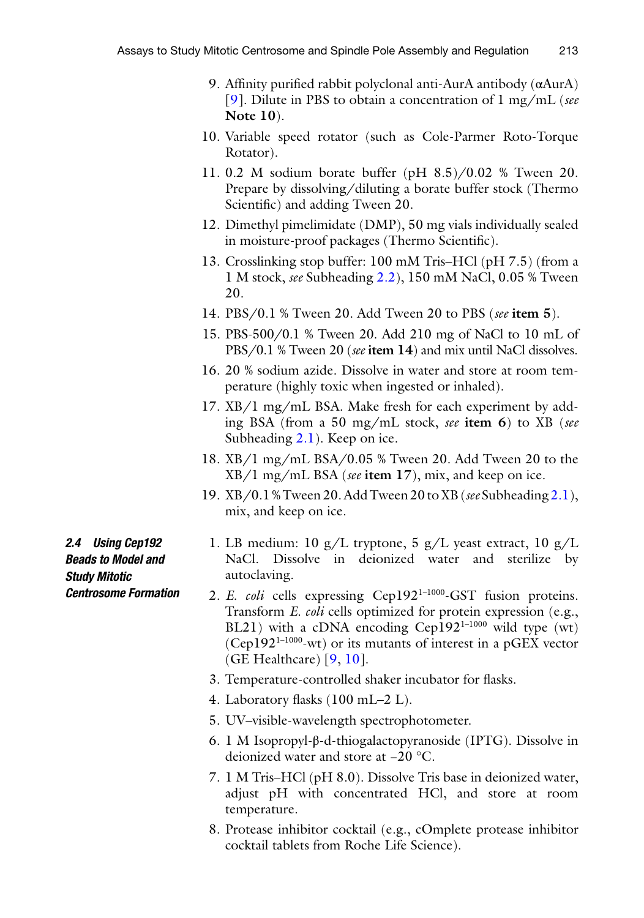- 9. Affinity purified rabbit polyclonal anti-AurA antibody (αAurA) [[9\]](#page-27-8). Dilute in PBS to obtain a concentration of 1 mg/mL (*see* **Note 10**).
- 10. Variable speed rotator (such as Cole-Parmer Roto-Torque Rotator).
- 11. 0.2 M sodium borate buffer (pH 8.5)/0.02 % Tween 20. Prepare by dissolving/diluting a borate buffer stock (Thermo Scientific) and adding Tween 20.
- 12. Dimethyl pimelimidate (DMP), 50 mg vials individually sealed in moisture-proof packages (Thermo Scientific).
- 13. Crosslinking stop buffer: 100 mM Tris–HCl (pH 7.5) (from a 1 M stock, *see* Subheading [2.2](#page-4-0)), 150 mM NaCl, 0.05 % Tween 20.
- 14. PBS/0.1 % Tween 20. Add Tween 20 to PBS (*see* **item 5**).
- 15. PBS-500/0.1 % Tween 20. Add 210 mg of NaCl to 10 mL of PBS/0.1 % Tween 20 (*see* **item 14**) and mix until NaCl dissolves.
- 16. 20 % sodium azide. Dissolve in water and store at room temperature (highly toxic when ingested or inhaled).
- 17. XB/1 mg/mL BSA. Make fresh for each experiment by adding BSA (from a 50 mg/mL stock, *see* **item 6**) to XB (*see* Subheading [2.1\)](#page-2-0). Keep on ice.
- 18. XB/1 mg/mL BSA/0.05 % Tween 20. Add Tween 20 to the XB/1 mg/mL BSA (*see* **item 17**), mix, and keep on ice.
- 19. XB/0.1% Tween 20. Add Tween 20 to XB (*see* Subheading [2.1\)](#page-2-0), mix, and keep on ice.

1. LB medium: 10 g/L tryptone, 5 g/L yeast extract, 10 g/L NaCl. Dissolve in deionized water and sterilize by autoclaving.

- 2. *E. coli* cells expressing Cep192<sup>1-1000</sup>-GST fusion proteins. Transform *E. coli* cells optimized for protein expression (e.g., BL21) with a cDNA encoding Cep192<sup>1-1000</sup> wild type (wt)  $(Cep192<sup>1-1000</sup>$ -wt) or its mutants of interest in a pGEX vector (GE Healthcare) [[9](#page-27-8), [10](#page-27-9)].
- 3. Temperature-controlled shaker incubator for flasks.
- 4. Laboratory flasks (100 mL–2 L).
- 5. UV–visible-wavelength spectrophotometer.
- 6. 1 M Isopropyl-β-d-thiogalactopyranoside (IPTG). Dissolve in deionized water and store at −20 °C.
- 7. 1 M Tris–HCl (pH 8.0). Dissolve Tris base in deionized water, adjust pH with concentrated HCl, and store at room temperature.
- 8. Protease inhibitor cocktail (e.g., cOmplete protease inhibitor cocktail tablets from Roche Life Science).

*2.4 Using Cep192 Beads to Model and Study Mitotic Centrosome Formation*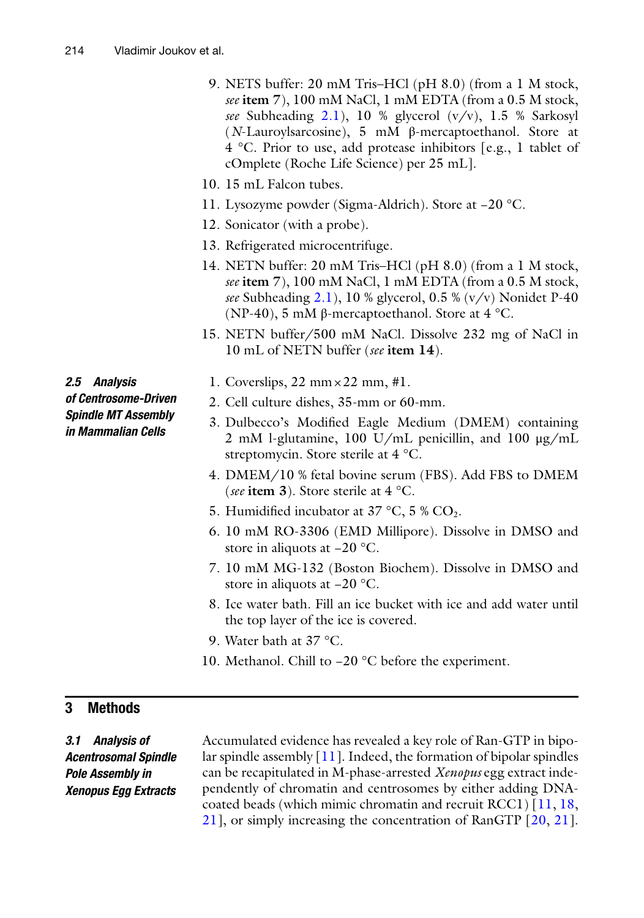- 9. NETS buffer: 20 mM Tris–HCl (pH 8.0) (from a 1 M stock, *see* **item 7**), 100 mM NaCl, 1 mM EDTA (from a 0.5 M stock, *see* Subheading [2.1\)](#page-2-0), 10 % glycerol (v/v), 1.5 % Sarkosyl (*N*-Lauroylsarcosine), 5 mM β-mercaptoethanol. Store at 4 °C. Prior to use, add protease inhibitors [e.g., 1 tablet of cOmplete (Roche Life Science) per 25 mL].
- 10. 15 mL Falcon tubes.
- 11. Lysozyme powder (Sigma-Aldrich). Store at −20 °C.
- 12. Sonicator (with a probe).
- 13. Refrigerated microcentrifuge.
- 14. NETN buffer: 20 mM Tris–HCl (pH 8.0) (from a 1 M stock, *see* **item 7**), 100 mM NaCl, 1 mM EDTA (from a 0.5 M stock, *see* Subheading [2.1\)](#page-2-0), 10 % glycerol, 0.5 % (v/v) Nonidet P-40 (NP-40), 5 mM  $\beta$ -mercaptoethanol. Store at 4 °C.
- 15. NETN buffer/500 mM NaCl. Dissolve 232 mg of NaCl in 10 mL of NETN buffer (*see* **item 14**).

*2.5 Analysis of Centrosome-Driven Spindle MT Assembly in Mammalian Cells*

- 1. Coverslips,  $22 \text{ mm} \times 22 \text{ mm}$ , #1.
- 2. Cell culture dishes, 35-mm or 60-mm.
- 3. Dulbecco's Modified Eagle Medium (DMEM) containing 2 mM l-glutamine, 100 U/mL penicillin, and 100 μg/mL streptomycin. Store sterile at 4 °C.
- 4. DMEM/10 % fetal bovine serum (FBS). Add FBS to DMEM (*see* **item 3**). Store sterile at 4 °C.
- 5. Humidified incubator at  $37 \degree C$ ,  $5 \% CO_2$ .
- 6. 10 mM RO-3306 (EMD Millipore). Dissolve in DMSO and store in aliquots at −20 °C.
- 7. 10 mM MG-132 (Boston Biochem). Dissolve in DMSO and store in aliquots at −20 °C.
- 8. Ice water bath. Fill an ice bucket with ice and add water until the top layer of the ice is covered.
- 9. Water bath at 37 °C.
- 10. Methanol. Chill to −20 °C before the experiment.

#### **3 Methods**

*3.1 Analysis of Acentrosomal Spindle Pole Assembly in Xenopus Egg Extracts* Accumulated evidence has revealed a key role of Ran-GTP in bipolar spindle assembly  $[11]$  $[11]$ . Indeed, the formation of bipolar spindles can be recapitulated in M-phase-arrested *Xenopus* egg extract independently of chromatin and centrosomes by either adding DNAcoated beads (which mimic chromatin and recruit RCC1) [\[11](#page-27-10), [18,](#page-27-24) [21\]](#page-27-17), or simply increasing the concentration of RanGTP [[20](#page-27-25), [21](#page-27-17)].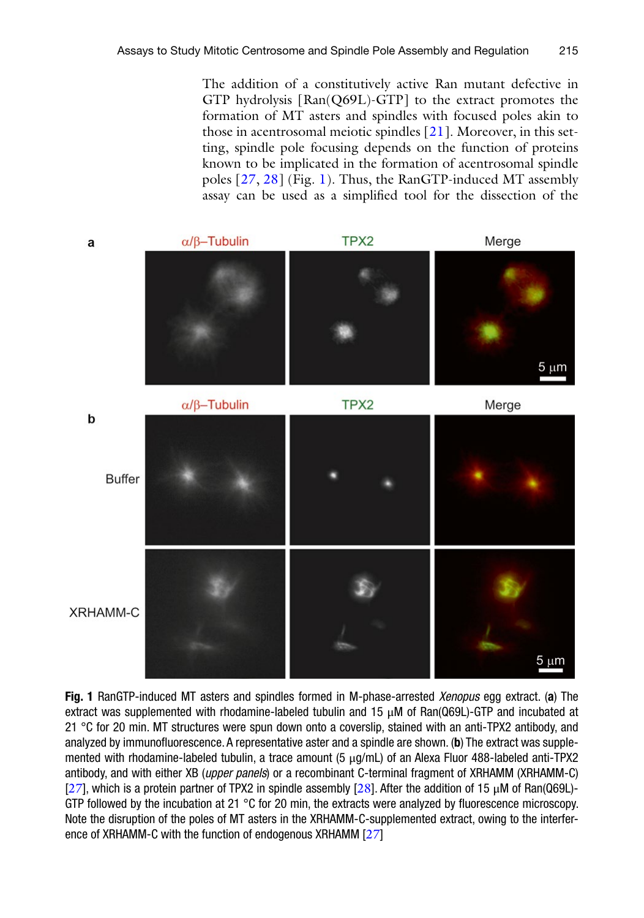The addition of a constitutively active Ran mutant defective in GTP hydrolysis [Ran(Q69L)-GTP] to the extract promotes the formation of MT asters and spindles with focused poles akin to those in acentrosomal meiotic spindles [[21](#page-27-17)]. Moreover, in this setting, spindle pole focusing depends on the function of proteins known to be implicated in the formation of acentrosomal spindle poles [[27,](#page-27-23) [28](#page-28-0)] (Fig. [1](#page-8-0)). Thus, the RanGTP-induced MT assembly assay can be used as a simplified tool for the dissection of the

<span id="page-8-0"></span>

**Fig. 1** RanGTP-induced MT asters and spindles formed in M-phase-arrested *Xenopus* egg extract. (**a**) The extract was supplemented with rhodamine-labeled tubulin and 15 μM of Ran(Q69L)-GTP and incubated at 21 °C for 20 min. MT structures were spun down onto a coverslip, stained with an anti-TPX2 antibody, and analyzed by immunofluorescence. A representative aster and a spindle are shown. (**b**) The extract was supplemented with rhodamine-labeled tubulin, a trace amount (5 μg/mL) of an Alexa Fluor 488-labeled anti-TPX2 antibody, and with either XB (*upper panels*) or a recombinant C-terminal fragment of XRHAMM (XRHAMM-C) [[27](#page-27-23)], which is a protein partner of TPX2 in spindle assembly [[28](#page-28-0)]. After the addition of 15  $\mu$ M of Ran(Q69L)-GTP followed by the incubation at 21  $\degree$ C for 20 min, the extracts were analyzed by fluorescence microscopy. Note the disruption of the poles of MT asters in the XRHAMM-C-supplemented extract, owing to the interfer-ence of XRHAMM-C with the function of endogenous XRHAMM [[27](#page-27-23)]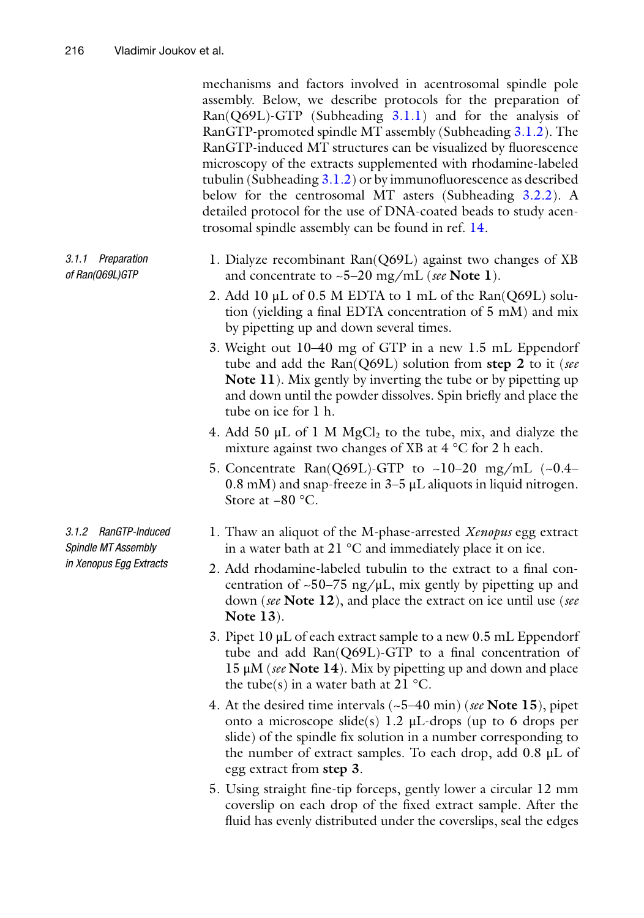<span id="page-9-0"></span>mechanisms and factors involved in acentrosomal spindle pole assembly. Below, we describe protocols for the preparation of Ran(Q69L)-GTP (Subheading [3.1.1\)](#page-9-0) and for the analysis of RanGTP-promoted spindle MT assembly (Subheading [3.1.2](#page-9-1)). The RanGTP-induced MT structures can be visualized by fluorescence microscopy of the extracts supplemented with rhodamine-labeled tubulin (Subheading  $3.1.2$ ) or by immunofluorescence as described below for the centrosomal MT asters (Subheading [3.2.2](#page-11-0)). A detailed protocol for the use of DNA-coated beads to study acentrosomal spindle assembly can be found in ref. [14.](#page-27-13)

- 1. Dialyze recombinant Ran(Q69L) against two changes of XB and concentrate to ~5–20 mg/mL (*see* **Note 1**). *3.1.1 Preparation of Ran(Q69L)GTP*
	- 2. Add 10 μL of 0.5 M EDTA to 1 mL of the Ran(Q69L) solution (yielding a final EDTA concentration of 5 mM) and mix by pipetting up and down several times.
	- 3. Weight out 10–40 mg of GTP in a new 1.5 mL Eppendorf tube and add the Ran(Q69L) solution from **step 2** to it (*see* **Note 11**). Mix gently by inverting the tube or by pipetting up and down until the powder dissolves. Spin briefly and place the tube on ice for 1 h.
	- 4. Add 50  $\mu$ L of 1 M MgCl<sub>2</sub> to the tube, mix, and dialyze the mixture against two changes of XB at 4 °C for 2 h each.
	- 5. Concentrate Ran(Q69L)-GTP to ~10–20 mg/mL  $(-0.4 0.8$  mM) and snap-freeze in  $3-5$   $\mu$ L aliquots in liquid nitrogen. Store at −80 °C.
	- 1. Thaw an aliquot of the M-phase-arrested *Xenopus* egg extract in a water bath at 21 °C and immediately place it on ice.
		- 2. Add rhodamine-labeled tubulin to the extract to a final concentration of  $\sim$ 50–75 ng/ $\mu$ L, mix gently by pipetting up and down (*see* **Note 12**), and place the extract on ice until use (*see* **Note 13**).
		- 3. Pipet 10 μL of each extract sample to a new 0.5 mL Eppendorf tube and add Ran(Q69L)-GTP to a final concentration of 15 μM (*see* **Note 14**). Mix by pipetting up and down and place the tube(s) in a water bath at 21  $^{\circ}$ C.
		- 4. At the desired time intervals (~5–40 min) (*see* **Note 15**), pipet onto a microscope slide(s) 1.2 μL-drops (up to 6 drops per slide) of the spindle fix solution in a number corresponding to the number of extract samples. To each drop, add 0.8 μL of egg extract from **step 3**.
		- 5. Using straight fine-tip forceps, gently lower a circular 12 mm coverslip on each drop of the fixed extract sample. After the fluid has evenly distributed under the coverslips, seal the edges

<span id="page-9-1"></span>*3.1.2 RanGTP-Induced Spindle MT Assembly in Xenopus Egg Extracts*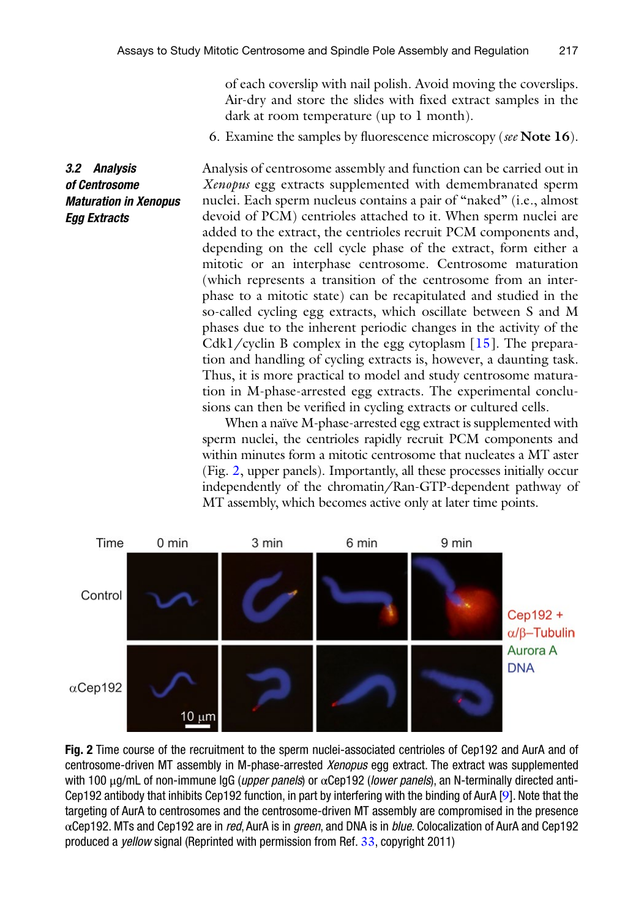*3.2 Analysis of Centrosome* 

*Egg Extracts*

of each coverslip with nail polish. Avoid moving the coverslips. Air-dry and store the slides with fixed extract samples in the dark at room temperature (up to 1 month).

6. Examine the samples by fluorescence microscopy (*see* **Note 16**).

Analysis of centrosome assembly and function can be carried out in *Xenopus* egg extracts supplemented with demembranated sperm nuclei. Each sperm nucleus contains a pair of "naked" (i.e., almost devoid of PCM) centrioles attached to it. When sperm nuclei are added to the extract, the centrioles recruit PCM components and, depending on the cell cycle phase of the extract, form either a mitotic or an interphase centrosome. Centrosome maturation (which represents a transition of the centrosome from an interphase to a mitotic state) can be recapitulated and studied in the so-called cycling egg extracts, which oscillate between S and M phases due to the inherent periodic changes in the activity of the Cdk1/cyclin B complex in the egg cytoplasm  $[15]$  $[15]$ . The preparation and handling of cycling extracts is, however, a daunting task. Thus, it is more practical to model and study centrosome maturation in M-phase-arrested egg extracts. The experimental conclusions can then be verified in cycling extracts or cultured cells. *Maturation in Xenopus* 

> When a naïve M-phase-arrested egg extract is supplemented with sperm nuclei, the centrioles rapidly recruit PCM components and within minutes form a mitotic centrosome that nucleates a MT aster (Fig. [2](#page-10-0), upper panels). Importantly, all these processes initially occur independently of the chromatin/Ran-GTP-dependent pathway of MT assembly, which becomes active only at later time points.

<span id="page-10-0"></span>

**Fig. 2** Time course of the recruitment to the sperm nuclei-associated centrioles of Cep192 and AurA and of centrosome-driven MT assembly in M-phase-arrested *Xenopus* egg extract. The extract was supplemented with 100 μg/mL of non-immune IgG (*upper panels*) or αCep192 (*lower panels*), an N-terminally directed anti-Cep192 antibody that inhibits Cep192 function, in part by interfering with the binding of AurA [[9](#page-27-8)]. Note that the targeting of AurA to centrosomes and the centrosome-driven MT assembly are compromised in the presence αCep192. MTs and Cep192 are in *red*, AurA is in *green*, and DNA is in *blue*. Colocalization of AurA and Cep192 produced a *yellow* signal (Reprinted with permission from Ref. [33](#page-28-1), copyright 2011)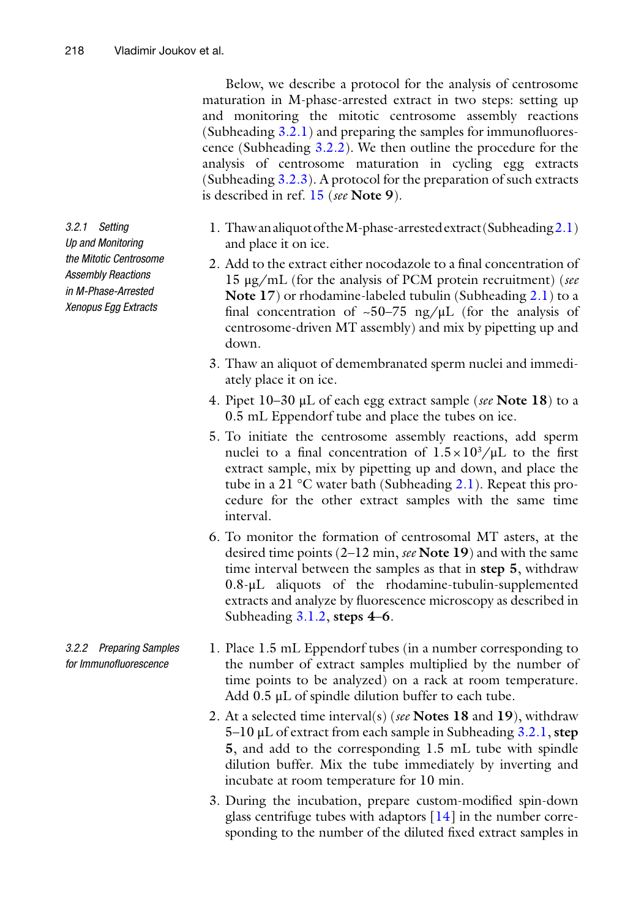Below, we describe a protocol for the analysis of centrosome maturation in M-phase-arrested extract in two steps: setting up and monitoring the mitotic centrosome assembly reactions (Subheading [3.2.1\)](#page-11-1) and preparing the samples for immunofluorescence (Subheading [3.2.2](#page-11-0)). We then outline the procedure for the analysis of centrosome maturation in cycling egg extracts (Subheading [3.2.3](#page-13-0)). A protocol for the preparation of such extracts is described in ref. [15](#page-27-14) (*see* **Note 9**).

- <span id="page-11-1"></span>1. Thaw an aliquot of the M-phase-arrested extract (Subheading[2.1\)](#page-2-0) and place it on ice.
- 2. Add to the extract either nocodazole to a final concentration of 15 μg/mL (for the analysis of PCM protein recruitment) (*see* **Note 17**) or rhodamine-labeled tubulin (Subheading [2.1](#page-2-0)) to a final concentration of  $\sim 50-75$  ng/ $\mu$ L (for the analysis of centrosome-driven MT assembly) and mix by pipetting up and down.
- 3. Thaw an aliquot of demembranated sperm nuclei and immediately place it on ice.
- 4. Pipet 10–30 μL of each egg extract sample (*see* **Note 18**) to a 0.5 mL Eppendorf tube and place the tubes on ice.
- 5. To initiate the centrosome assembly reactions, add sperm nuclei to a final concentration of  $1.5 \times 10^3/\mu$ L to the first extract sample, mix by pipetting up and down, and place the tube in a 21 °C water bath (Subheading [2.1](#page-2-0)). Repeat this procedure for the other extract samples with the same time interval.
- 6. To monitor the formation of centrosomal MT asters, at the desired time points (2–12 min, *see* **Note 19**) and with the same time interval between the samples as that in **step 5**, withdraw 0.8-μL aliquots of the rhodamine-tubulin-supplemented extracts and analyze by fluorescence microscopy as described in Subheading [3.1.2,](#page-9-1) **steps 4**–**6**.
- <span id="page-11-0"></span>1. Place 1.5 mL Eppendorf tubes (in a number corresponding to the number of extract samples multiplied by the number of time points to be analyzed) on a rack at room temperature. Add 0.5 μL of spindle dilution buffer to each tube.
- 2. At a selected time interval(s) (*see* **Notes 18** and **19**), withdraw 5–10 μL of extract from each sample in Subheading [3.2.1](#page-11-1), **step 5**, and add to the corresponding 1.5 mL tube with spindle dilution buffer. Mix the tube immediately by inverting and incubate at room temperature for 10 min.
- 3. During the incubation, prepare custom-modified spin-down glass centrifuge tubes with adaptors [\[14](#page-27-13)] in the number corresponding to the number of the diluted fixed extract samples in

*3.2.1 Setting Up and Monitoring the Mitotic Centrosome Assembly Reactions in M-Phase-Arrested Xenopus Egg Extracts*

*3.2.2 Preparing Samples for Immunofluorescence*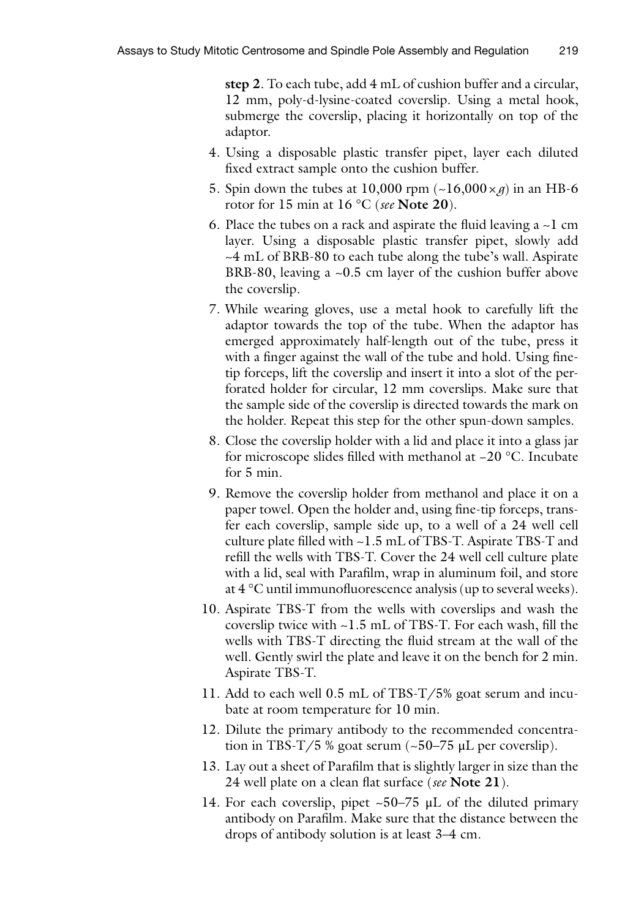**step 2**. To each tube, add 4 mL of cushion buffer and a circular, 12 mm, poly-d-lysine-coated coverslip. Using a metal hook, submerge the coverslip, placing it horizontally on top of the adaptor.

- 4. Using a disposable plastic transfer pipet, layer each diluted fixed extract sample onto the cushion buffer.
- 5. Spin down the tubes at 10,000 rpm  $(\sim 16,000 \times g)$  in an HB-6 rotor for 15 min at 16 °C (*see* **Note 20**).
- 6. Place the tubes on a rack and aspirate the fluid leaving a  $\sim$ 1 cm layer. Using a disposable plastic transfer pipet, slowly add ~4 mL of BRB-80 to each tube along the tube's wall. Aspirate BRB-80, leaving a ~0.5 cm layer of the cushion buffer above the coverslip.
- 7. While wearing gloves, use a metal hook to carefully lift the adaptor towards the top of the tube. When the adaptor has emerged approximately half-length out of the tube, press it with a finger against the wall of the tube and hold. Using finetip forceps, lift the coverslip and insert it into a slot of the perforated holder for circular, 12 mm coverslips. Make sure that the sample side of the coverslip is directed towards the mark on the holder. Repeat this step for the other spun-down samples.
- 8. Close the coverslip holder with a lid and place it into a glass jar for microscope slides filled with methanol at −20 °C. Incubate for 5 min.
- 9. Remove the coverslip holder from methanol and place it on a paper towel. Open the holder and, using fine-tip forceps, transfer each coverslip, sample side up, to a well of a 24 well cell culture plate filled with ~1.5 mL of TBS-T. Aspirate TBS-T and refill the wells with TBS-T. Cover the 24 well cell culture plate with a lid, seal with Parafilm, wrap in aluminum foil, and store at 4 °C until immunofluorescence analysis (up to several weeks).
- 10. Aspirate TBS-T from the wells with coverslips and wash the coverslip twice with ~1.5 mL of TBS-T. For each wash, fill the wells with TBS-T directing the fluid stream at the wall of the well. Gently swirl the plate and leave it on the bench for 2 min. Aspirate TBS-T.
- 11. Add to each well 0.5 mL of TBS-T/5% goat serum and incubate at room temperature for 10 min.
- 12. Dilute the primary antibody to the recommended concentration in TBS-T/5 % goat serum  $(-50-75 \mu L)$  per coverslip).
- 13. Lay out a sheet of Parafilm that is slightly larger in size than the 24 well plate on a clean flat surface (*see* **Note 21**).
- 14. For each coverslip, pipet  $\sim 50-75$  µL of the diluted primary antibody on Parafilm. Make sure that the distance between the drops of antibody solution is at least 3–4 cm.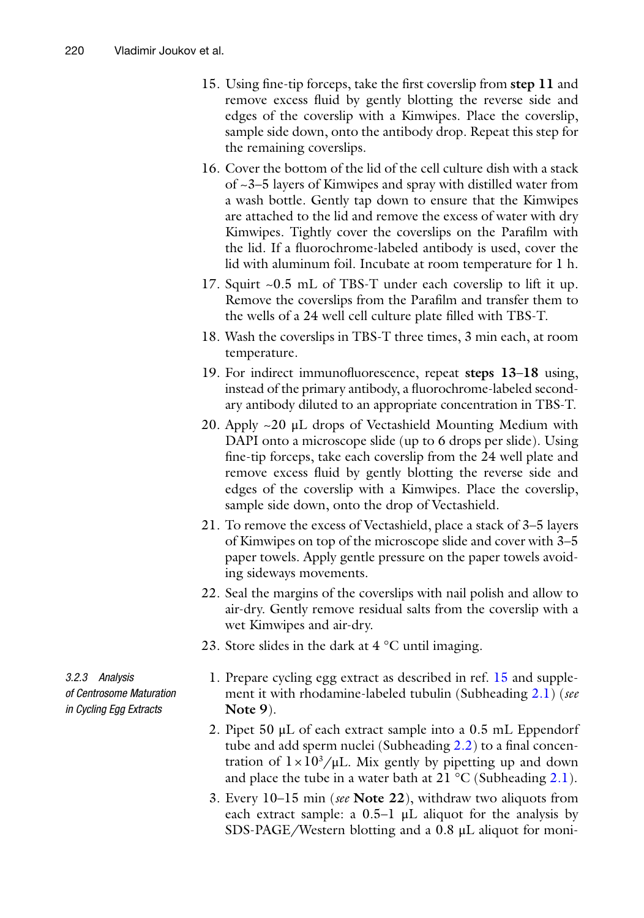- 15. Using fine-tip forceps, take the first coverslip from **step 11** and remove excess fluid by gently blotting the reverse side and edges of the coverslip with a Kimwipes. Place the coverslip, sample side down, onto the antibody drop. Repeat this step for the remaining coverslips.
- 16. Cover the bottom of the lid of the cell culture dish with a stack of ~3–5 layers of Kimwipes and spray with distilled water from a wash bottle. Gently tap down to ensure that the Kimwipes are attached to the lid and remove the excess of water with dry Kimwipes. Tightly cover the coverslips on the Parafilm with the lid. If a fluorochrome-labeled antibody is used, cover the lid with aluminum foil. Incubate at room temperature for 1 h.
- 17. Squirt ~0.5 mL of TBS-T under each coverslip to lift it up. Remove the coverslips from the Parafilm and transfer them to the wells of a 24 well cell culture plate filled with TBS-T.
- 18. Wash the coverslips in TBS-T three times, 3 min each, at room temperature.
- 19. For indirect immunofluorescence, repeat **steps 13**–**18** using, instead of the primary antibody, a fluorochrome-labeled secondary antibody diluted to an appropriate concentration in TBS-T.
- 20. Apply ~20 μL drops of Vectashield Mounting Medium with DAPI onto a microscope slide (up to 6 drops per slide). Using fine-tip forceps, take each coverslip from the 24 well plate and remove excess fluid by gently blotting the reverse side and edges of the coverslip with a Kimwipes. Place the coverslip, sample side down, onto the drop of Vectashield.
- 21. To remove the excess of Vectashield, place a stack of 3–5 layers of Kimwipes on top of the microscope slide and cover with 3–5 paper towels. Apply gentle pressure on the paper towels avoiding sideways movements.
- 22. Seal the margins of the coverslips with nail polish and allow to air-dry. Gently remove residual salts from the coverslip with a wet Kimwipes and air-dry.
- 23. Store slides in the dark at  $4^{\circ}$ C until imaging.

<span id="page-13-0"></span>1. Prepare cycling egg extract as described in ref. [15](#page-27-14) and supplement it with rhodamine-labeled tubulin (Subheading [2.1\)](#page-2-0) (*see* **Note 9**).

- 2. Pipet 50 μL of each extract sample into a 0.5 mL Eppendorf tube and add sperm nuclei (Subheading [2.2](#page-4-0)) to a final concentration of  $1 \times 10^3/\mu L$ . Mix gently by pipetting up and down and place the tube in a water bath at  $21 \degree C$  (Subheading [2.1\)](#page-2-0).
- 3. Every 10–15 min (*see* **Note 22**), withdraw two aliquots from each extract sample: a  $0.5-1$   $\mu$ L aliquot for the analysis by SDS-PAGE/Western blotting and a 0.8 μL aliquot for moni-

*3.2.3 Analysis of Centrosome Maturation in Cycling Egg Extracts*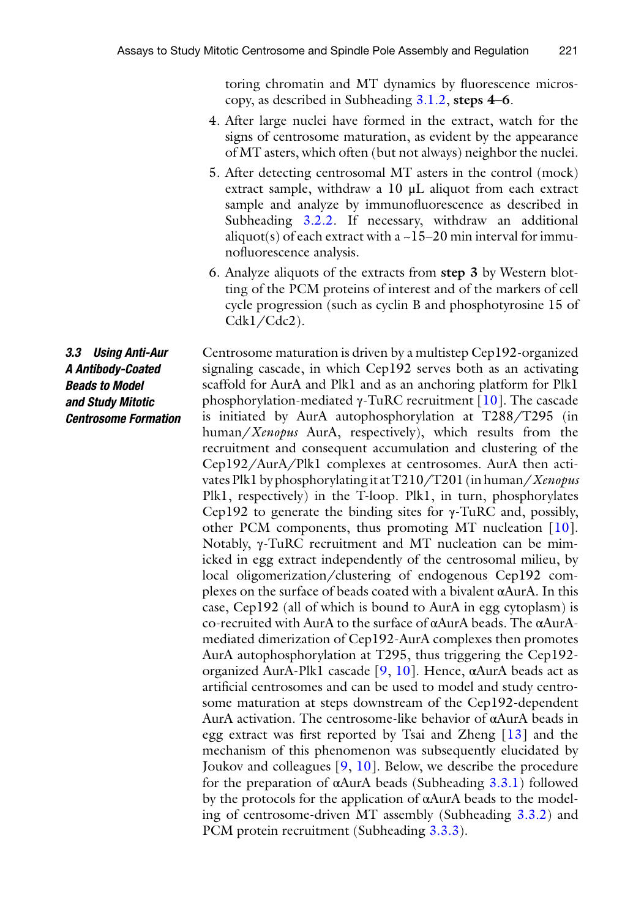toring chromatin and MT dynamics by fluorescence microscopy, as described in Subheading [3.1.2,](#page-9-1) **steps 4**–**6**.

- 4. After large nuclei have formed in the extract, watch for the signs of centrosome maturation, as evident by the appearance of MT asters, which often (but not always) neighbor the nuclei.
- 5. After detecting centrosomal MT asters in the control (mock) extract sample, withdraw a 10 μL aliquot from each extract sample and analyze by immunofluorescence as described in Subheading [3.2.2](#page-11-0). If necessary, withdraw an additional aliquot(s) of each extract with a  $\sim$  15–20 min interval for immunofluorescence analysis.
- 6. Analyze aliquots of the extracts from **step 3** by Western blotting of the PCM proteins of interest and of the markers of cell cycle progression (such as cyclin B and phosphotyrosine 15 of Cdk1/Cdc2).

*3.3 Using Anti-Aur A Antibody-Coated Beads to Model and Study Mitotic Centrosome Formation* Centrosome maturation is driven by a multistep Cep192-organized signaling cascade, in which Cep192 serves both as an activating scaffold for AurA and Plk1 and as an anchoring platform for Plk1 phosphorylation-mediated γ-TuRC recruitment [\[10](#page-27-9)]. The cascade is initiated by AurA autophosphorylation at T288/T295 (in human/*Xenopus* AurA, respectively), which results from the recruitment and consequent accumulation and clustering of the Cep192/AurA/Plk1 complexes at centrosomes. AurA then activates Plk1 by phosphorylating it at T210/T201 (in human/*Xenopus* Plk1, respectively) in the T-loop. Plk1, in turn, phosphorylates Cep192 to generate the binding sites for  $γ$ -TuRC and, possibly, other PCM components, thus promoting MT nucleation [[10](#page-27-9)]. Notably, γ-TuRC recruitment and MT nucleation can be mimicked in egg extract independently of the centrosomal milieu, by local oligomerization/clustering of endogenous Cep192 complexes on the surface of beads coated with a bivalent αAurA. In this case, Cep192 (all of which is bound to AurA in egg cytoplasm) is co-recruited with AurA to the surface of αAurA beads. The αAurAmediated dimerization of Cep192-AurA complexes then promotes AurA autophosphorylation at T295, thus triggering the Cep192 organized AurA-Plk1 cascade [[9,](#page-27-8) [10\]](#page-27-9). Hence, αAurA beads act as artificial centrosomes and can be used to model and study centrosome maturation at steps downstream of the Cep192-dependent AurA activation. The centrosome-like behavior of αAurA beads in egg extract was first reported by Tsai and Zheng [[13](#page-27-12)] and the mechanism of this phenomenon was subsequently elucidated by Joukov and colleagues [\[9,](#page-27-8) [10](#page-27-9)]. Below, we describe the procedure for the preparation of αAurA beads (Subheading [3.3.1](#page-15-0)) followed by the protocols for the application of αAurA beads to the modeling of centrosome-driven MT assembly (Subheading [3.3.2\)](#page-16-0) and PCM protein recruitment (Subheading [3.3.3](#page-17-0)).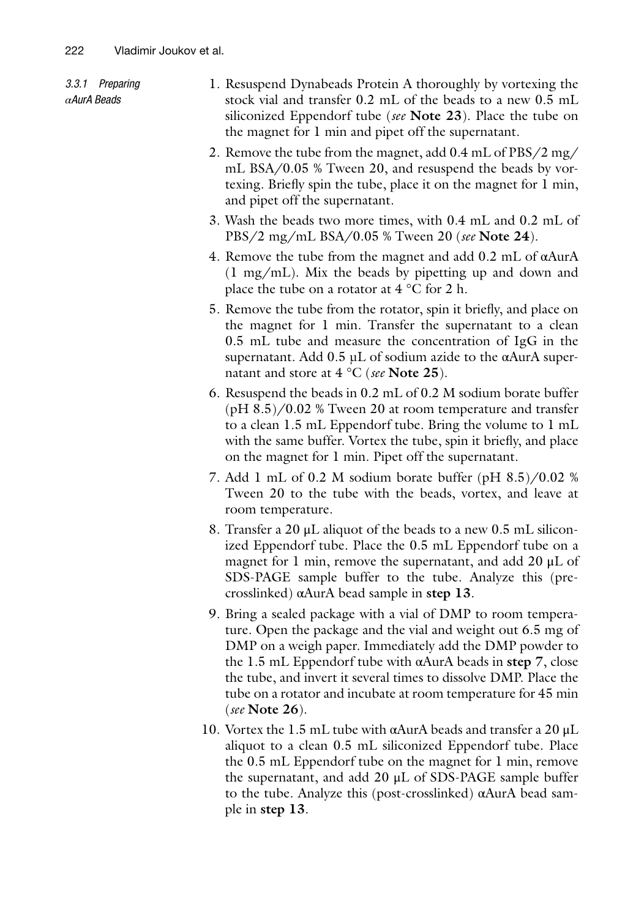<span id="page-15-0"></span>

| 3.3.1 Preparing<br>$\alpha$ AurA Beads | 1. Resuspend Dynabeads Protein A thoroughly by vortexing the<br>stock vial and transfer 0.2 mL of the beads to a new 0.5 mL<br>siliconized Eppendorf tube (see Note 23). Place the tube on<br>the magnet for 1 min and pipet off the supernatant.                                                                       |
|----------------------------------------|-------------------------------------------------------------------------------------------------------------------------------------------------------------------------------------------------------------------------------------------------------------------------------------------------------------------------|
|                                        | 2. Remove the tube from the magnet, add 0.4 mL of PBS/2 mg/<br>mL BSA/0.05 % Tween 20, and resuspend the beads by vor-<br>texing. Briefly spin the tube, place it on the magnet for 1 min,<br>and pipet off the supernatant.                                                                                            |
|                                        | 3. Wash the beads two more times, with 0.4 mL and 0.2 mL of<br>PBS/2 mg/mL BSA/0.05 % Tween 20 (see Note 24).                                                                                                                                                                                                           |
|                                        | 4. Remove the tube from the magnet and add $0.2$ mL of $\alpha$ AurA<br>$(1 \text{ mg/mL})$ . Mix the beads by pipetting up and down and<br>place the tube on a rotator at $4^{\circ}$ C for 2 h.                                                                                                                       |
|                                        | 5. Remove the tube from the rotator, spin it briefly, and place on<br>the magnet for 1 min. Transfer the supernatant to a clean<br>0.5 mL tube and measure the concentration of IgG in the<br>supernatant. Add $0.5$ µL of sodium azide to the $\alpha$ AurA super-<br>natant and store at $4 °C$ (see Note 25).        |
|                                        | 6. Resuspend the beads in 0.2 mL of 0.2 M sodium borate buffer<br>$(pH 8.5)/0.02$ % Tween 20 at room temperature and transfer<br>to a clean 1.5 mL Eppendorf tube. Bring the volume to 1 mL<br>with the same buffer. Vortex the tube, spin it briefly, and place<br>on the magnet for 1 min. Pipet off the supernatant. |
|                                        | 7. Add 1 mL of 0.2 M sodium borate buffer (pH $8.5$ )/0.02 %<br>Tween 20 to the tube with the beads, vortex, and leave at<br>room temperature.                                                                                                                                                                          |
|                                        | 8. Transfer a 20 $\mu$ L aliquot of the beads to a new 0.5 mL silicon-<br>ized Eppendorf tube. Place the 0.5 mL Eppendorf tube on a<br>magnet for 1 min, remove the supernatant, and add 20 µL of<br>SDS-PAGE sample buffer to the tube. Analyze this (pre-<br>crosslinked) $\alpha$ AurA bead sample in step 13.       |
|                                        | 9. Bring a sealed package with a vial of DMP to room tempera-<br>ture. Open the package and the vial and weight out 6.5 mg of<br>DMP on a weigh paper. Immediately add the DMP powder to                                                                                                                                |

- DMP on a weigh paper. Immediately add the DMP powder to the 1.5 mL Eppendorf tube with αAurA beads in **step 7**, close the tube, and invert it several times to dissolve DMP. Place the tube on a rotator and incubate at room temperature for 45 min (*see* **Note 26**).
- 10. Vortex the 1.5 mL tube with αAurA beads and transfer a 20 μL aliquot to a clean 0.5 mL siliconized Eppendorf tube. Place the 0.5 mL Eppendorf tube on the magnet for 1 min, remove the supernatant, and add 20 μL of SDS-PAGE sample buffer to the tube. Analyze this (post-crosslinked) αAurA bead sample in **step 13**.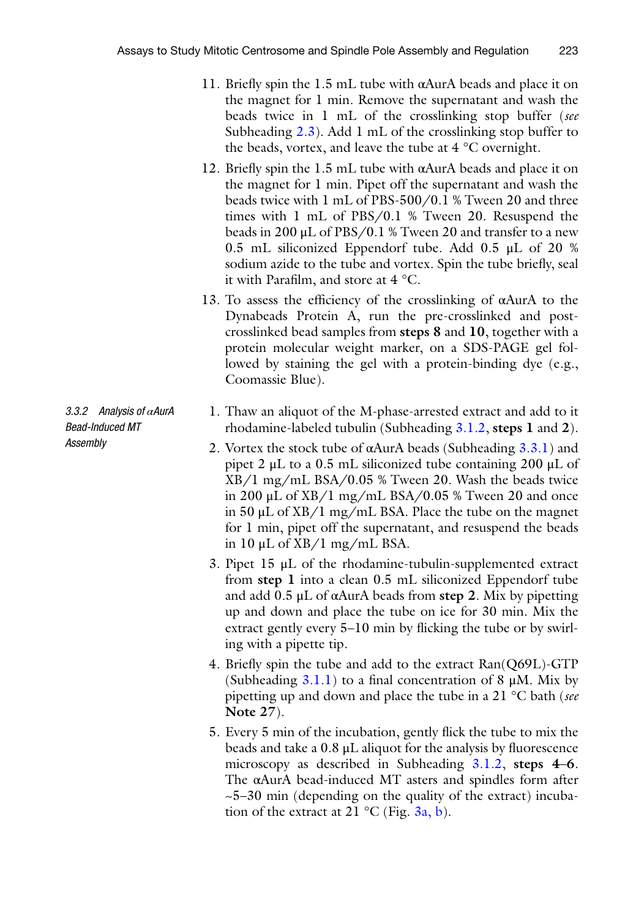- 11. Briefly spin the 1.5 mL tube with αAurA beads and place it on the magnet for 1 min. Remove the supernatant and wash the beads twice in 1 mL of the crosslinking stop buffer (*see* Subheading  $2.3$ ). Add 1 mL of the crosslinking stop buffer to the beads, vortex, and leave the tube at 4 °C overnight.
- 12. Briefly spin the 1.5 mL tube with αAurA beads and place it on the magnet for 1 min. Pipet off the supernatant and wash the beads twice with 1 mL of PBS-500/0.1 % Tween 20 and three times with 1 mL of PBS/0.1 % Tween 20. Resuspend the beads in 200 μL of PBS/0.1 % Tween 20 and transfer to a new 0.5 mL siliconized Eppendorf tube. Add 0.5 μL of 20 % sodium azide to the tube and vortex. Spin the tube briefly, seal it with Parafilm, and store at 4 °C.
- 13. To assess the efficiency of the crosslinking of αAurA to the Dynabeads Protein A, run the pre-crosslinked and postcrosslinked bead samples from **steps 8** and **10**, together with a protein molecular weight marker, on a SDS-PAGE gel followed by staining the gel with a protein-binding dye (e.g., Coomassie Blue).
- <span id="page-16-0"></span>1. Thaw an aliquot of the M-phase-arrested extract and add to it rhodamine-labeled tubulin (Subheading [3.1.2,](#page-9-1) **steps 1** and **2**).
	- 2. Vortex the stock tube of  $\alpha$ AurA beads (Subheading [3.3.1](#page-15-0)) and pipet 2  $\mu$ L to a 0.5 mL siliconized tube containing 200  $\mu$ L of XB/1 mg/mL BSA/0.05 % Tween 20. Wash the beads twice in 200  $\mu$ L of XB/1 mg/mL BSA/0.05 % Tween 20 and once in 50 μL of XB/1 mg/mL BSA. Place the tube on the magnet for 1 min, pipet off the supernatant, and resuspend the beads in 10 μL of XB/1 mg/mL BSA.
	- 3. Pipet 15 μL of the rhodamine-tubulin-supplemented extract from **step 1** into a clean 0.5 mL siliconized Eppendorf tube and add 0.5 μL of αAurA beads from **step 2**. Mix by pipetting up and down and place the tube on ice for 30 min. Mix the extract gently every 5–10 min by flicking the tube or by swirling with a pipette tip.
	- 4. Briefly spin the tube and add to the extract Ran(Q69L)-GTP (Subheading  $3.1.1$ ) to a final concentration of 8  $\mu$ M. Mix by pipetting up and down and place the tube in a 21 °C bath (*see* **Note 27**).
	- 5. Every 5 min of the incubation, gently flick the tube to mix the beads and take a 0.8 μL aliquot for the analysis by fluorescence microscopy as described in Subheading [3.1.2,](#page-9-1) **steps 4**–**6**. The αAurA bead-induced MT asters and spindles form after  $\sim$  5–30 min (depending on the quality of the extract) incubation of the extract at 21  $^{\circ}$ C (Fig. [3a, b](#page-17-1)).

*3.3.2 Analysis of αAurA Bead-Induced MT Assembly*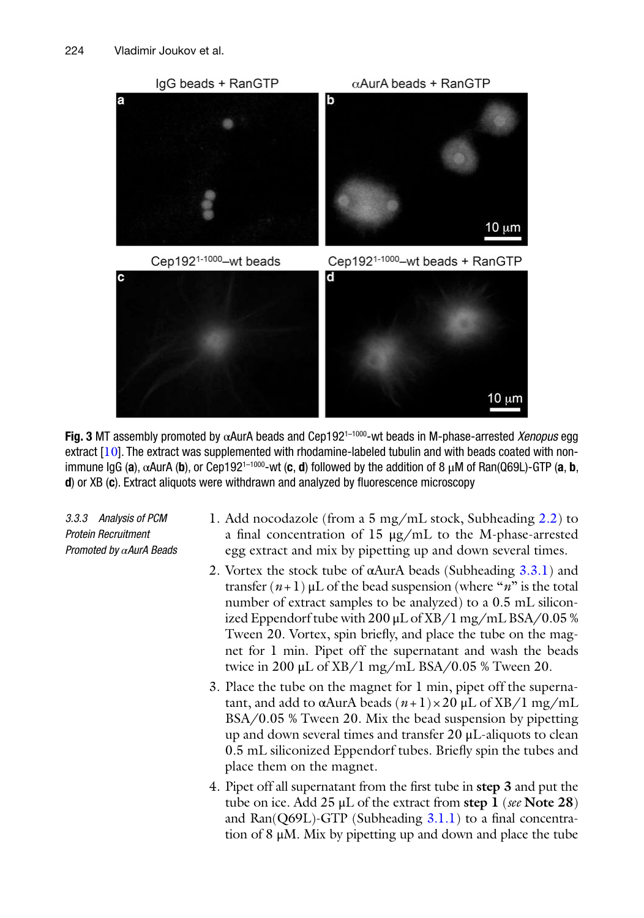<span id="page-17-1"></span>

**Fig. 3** MT assembly promoted by αAurA beads and Cep1921–1000-wt beads in M-phase-arrested *Xenopus* egg extract  $[10]$  $[10]$  $[10]$ . The extract was supplemented with rhodamine-labeled tubulin and with beads coated with nonimmune IgG (a),  $α$ AurA (b), or Cep192<sup>1–1000</sup>-wt (**c**, **d**) followed by the addition of 8 μM of Ran(Q69L)-GTP (a, **b**, **d**) or XB (**c**). Extract aliquots were withdrawn and analyzed by fluorescence microscopy

*3.3.3 Analysis of PCM Protein Recruitment Promoted by αAurA Beads*

- <span id="page-17-0"></span>1. Add nocodazole (from a 5 mg/mL stock, Subheading [2.2](#page-4-0)) to a final concentration of 15 μg/mL to the M-phase-arrested egg extract and mix by pipetting up and down several times.
- 2. Vortex the stock tube of  $\alpha$ AurA beads (Subheading  $3.3.1$ ) and transfer  $(n+1)$  μL of the bead suspension (where "*n*" is the total number of extract samples to be analyzed) to a 0.5 mL siliconized Eppendorf tube with 200 μL of XB/1 mg/mL BSA/0.05 % Tween 20. Vortex, spin briefly, and place the tube on the magnet for 1 min. Pipet off the supernatant and wash the beads twice in 200 μL of XB/1 mg/mL BSA/0.05 % Tween 20.
- 3. Place the tube on the magnet for 1 min, pipet off the supernatant, and add to αAurA beads  $(n+1) \times 20 \mu L$  of XB/1 mg/mL BSA/0.05 % Tween 20. Mix the bead suspension by pipetting up and down several times and transfer 20 μL-aliquots to clean 0.5 mL siliconized Eppendorf tubes. Briefly spin the tubes and place them on the magnet.
- 4. Pipet off all supernatant from the first tube in **step 3** and put the tube on ice. Add 25 μL of the extract from **step 1** (*see* **Note 28**) and Ran( $Q69L$ )-GTP (Subheading  $3.1.1$ ) to a final concentration of 8 μM. Mix by pipetting up and down and place the tube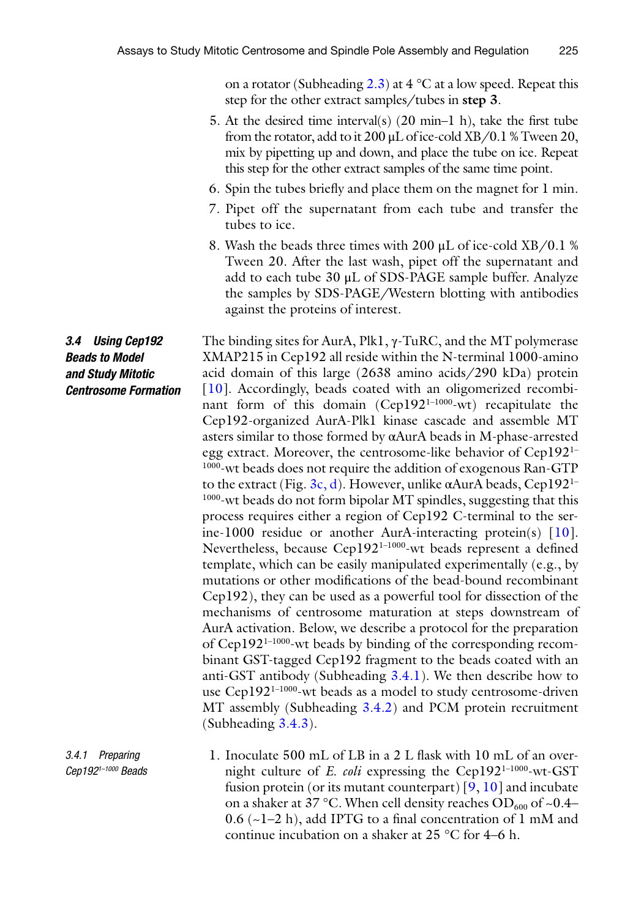on a rotator (Subheading [2.3\)](#page-5-0) at  $4^{\circ}$ C at a low speed. Repeat this step for the other extract samples/tubes in **step 3**.

- 5. At the desired time interval(s)  $(20 \text{ min-1 h})$ , take the first tube from the rotator, add to it  $200 \mu L$  of ice-cold XB/0.1 % Tween 20, mix by pipetting up and down, and place the tube on ice. Repeat this step for the other extract samples of the same time point.
- 6. Spin the tubes briefly and place them on the magnet for 1 min.
- 7. Pipet off the supernatant from each tube and transfer the tubes to ice.
- 8. Wash the beads three times with 200 μL of ice-cold XB/0.1 % Tween 20. After the last wash, pipet off the supernatant and add to each tube 30 μL of SDS-PAGE sample buffer. Analyze the samples by SDS-PAGE/Western blotting with antibodies against the proteins of interest.

## *3.4 Using Cep192 Beads to Model and Study Mitotic Centrosome Formation*

*3.4.1 Preparing Cep1921–1000 Beads*

The binding sites for AurA, Plk1, γ-TuRC, and the MT polymerase XMAP215 in Cep192 all reside within the N-terminal 1000-amino acid domain of this large (2638 amino acids/290 kDa) protein [[10\]](#page-27-9). Accordingly, beads coated with an oligomerized recombinant form of this domain (Cep1921–1000-wt) recapitulate the Cep192-organized AurA-Plk1 kinase cascade and assemble MT asters similar to those formed by αAurA beads in M-phase-arrested egg extract. Moreover, the centrosome-like behavior of Cep1921– 1000-wt beads does not require the addition of exogenous Ran-GTP to the extract (Fig. [3c, d](#page-17-1)). However, unlike αAurA beads, Cep192<sup>1–</sup> <sup>1000</sup>-wt beads do not form bipolar MT spindles, suggesting that this process requires either a region of Cep192 C-terminal to the serine-1000 residue or another AurA-interacting protein(s) [[10](#page-27-9)]. Nevertheless, because Cep1921–1000-wt beads represent a defined template, which can be easily manipulated experimentally (e.g., by mutations or other modifications of the bead-bound recombinant Cep192), they can be used as a powerful tool for dissection of the mechanisms of centrosome maturation at steps downstream of AurA activation. Below, we describe a protocol for the preparation of Cep192<sup>1-1000</sup>-wt beads by binding of the corresponding recombinant GST-tagged Cep192 fragment to the beads coated with an anti-GST antibody (Subheading [3.4.1\)](#page-18-0). We then describe how to use Cep192<sup>1-1000</sup>-wt beads as a model to study centrosome-driven MT assembly (Subheading [3.4.2\)](#page-20-0) and PCM protein recruitment (Subheading [3.4.3\)](#page-20-1).

<span id="page-18-0"></span>1. Inoculate 500 mL of LB in a 2 L flask with 10 mL of an overnight culture of *E. coli* expressing the Cep192<sup>1-1000</sup>-wt-GST fusion protein (or its mutant counterpart)  $[9, 10]$  $[9, 10]$  $[9, 10]$  $[9, 10]$  and incubate on a shaker at 37 °C. When cell density reaches  $OD_{600}$  of ~0.4– 0.6  $(-1-2 h)$ , add IPTG to a final concentration of 1 mM and continue incubation on a shaker at 25 °C for 4–6 h.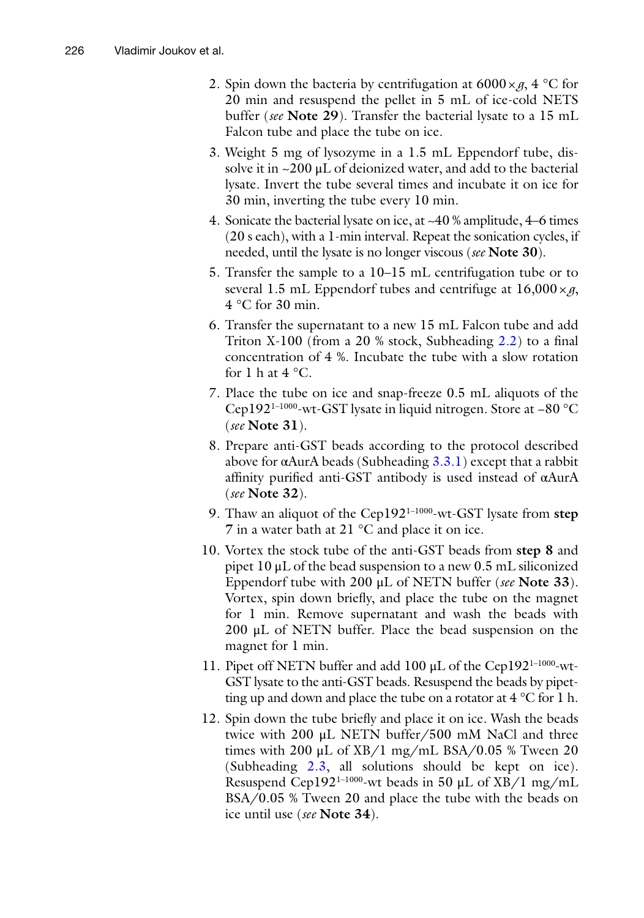- 2. Spin down the bacteria by centrifugation at  $6000 \times g$ , 4 °C for 20 min and resuspend the pellet in 5 mL of ice-cold NETS buffer (*see* **Note 29**). Transfer the bacterial lysate to a 15 mL Falcon tube and place the tube on ice.
- 3. Weight 5 mg of lysozyme in a 1.5 mL Eppendorf tube, dissolve it in  $\sim$ 200 µL of deionized water, and add to the bacterial lysate. Invert the tube several times and incubate it on ice for 30 min, inverting the tube every 10 min.
- 4. Sonicate the bacterial lysate on ice, at ~40 % amplitude, 4–6 times (20 s each), with a 1-min interval. Repeat the sonication cycles, if needed, until the lysate is no longer viscous (*see* **Note 30**).
- 5. Transfer the sample to a 10–15 mL centrifugation tube or to several 1.5 mL Eppendorf tubes and centrifuge at 16,000×*g*, 4 °C for 30 min.
- 6. Transfer the supernatant to a new 15 mL Falcon tube and add Triton X-100 (from a 20 % stock, Subheading [2.2](#page-4-0)) to a final concentration of 4 %. Incubate the tube with a slow rotation for 1 h at 4  $^{\circ}$ C.
- 7. Place the tube on ice and snap-freeze 0.5 mL aliquots of the Cep1921–1000-wt-GST lysate in liquid nitrogen. Store at −80 °C (*see* **Note 31**).
- 8. Prepare anti-GST beads according to the protocol described above for  $\alpha$ AurA beads (Subheading  $3.3.1$ ) except that a rabbit affinity purified anti-GST antibody is used instead of αAurA (*see* **Note 32**).
- 9. Thaw an aliquot of the Cep1921–1000-wt-GST lysate from **step 7** in a water bath at 21 °C and place it on ice.
- 10. Vortex the stock tube of the anti-GST beads from **step 8** and pipet 10 μL of the bead suspension to a new 0.5 mL siliconized Eppendorf tube with 200 μL of NETN buffer (*see* **Note 33**). Vortex, spin down briefly, and place the tube on the magnet for 1 min. Remove supernatant and wash the beads with 200  $\mu$ L of NETN buffer. Place the bead suspension on the magnet for 1 min.
- 11. Pipet off NETN buffer and add 100 μL of the Cep1921–1000-wt-GST lysate to the anti-GST beads. Resuspend the beads by pipetting up and down and place the tube on a rotator at 4 °C for 1 h.
- 12. Spin down the tube briefly and place it on ice. Wash the beads twice with 200 μL NETN buffer/500 mM NaCl and three times with 200  $\mu$ L of XB/1 mg/mL BSA/0.05 % Tween 20 (Subheading [2.3,](#page-5-0) all solutions should be kept on ice). Resuspend Cep192<sup>1-1000</sup>-wt beads in 50  $\mu$ L of XB/1 mg/mL BSA/0.05 % Tween 20 and place the tube with the beads on ice until use (*see* **Note 34**).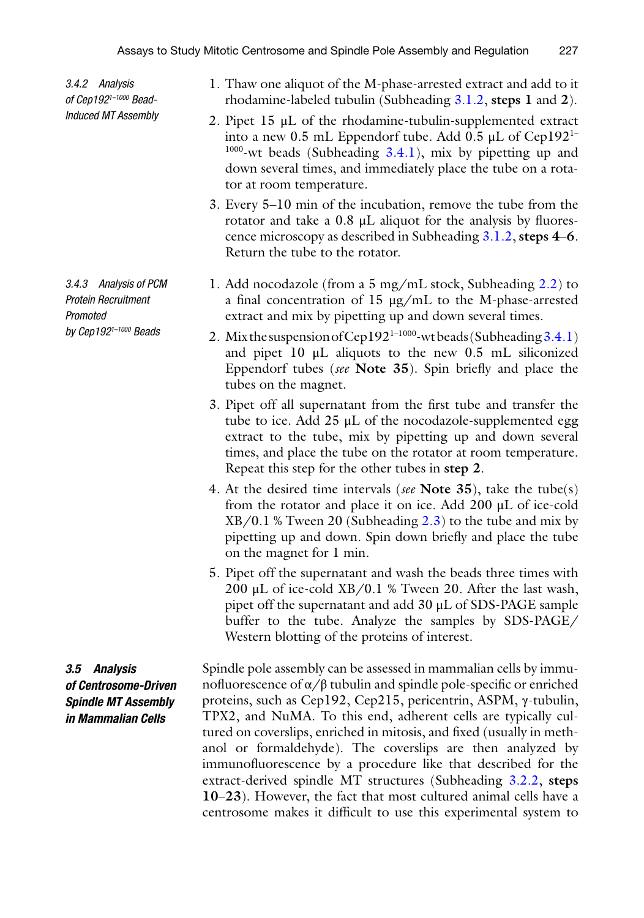*3.4.2 Analysis of Cep1921–1000 Bead-Induced MT Assembly*

*3.4.3 Analysis of PCM Protein Recruitment Promoted by Cep1921–1000 Beads*

*3.5 Analysis of Centrosome-Driven Spindle MT Assembly in Mammalian Cells*

- <span id="page-20-0"></span>1. Thaw one aliquot of the M-phase-arrested extract and add to it rhodamine-labeled tubulin (Subheading [3.1.2](#page-9-1), **steps 1** and **2**).
- 2. Pipet 15 μL of the rhodamine-tubulin-supplemented extract into a new 0.5 mL Eppendorf tube. Add 0.5  $\mu$ L of Cep192<sup>1-</sup> <sup>1000</sup>-wt beads (Subheading [3.4.1\)](#page-18-0), mix by pipetting up and down several times, and immediately place the tube on a rotator at room temperature.
- 3. Every 5–10 min of the incubation, remove the tube from the rotator and take a 0.8 μL aliquot for the analysis by fluorescence microscopy as described in Subheading [3.1.2,](#page-9-1) **steps 4**–**6**. Return the tube to the rotator.
- <span id="page-20-1"></span>1. Add nocodazole (from a 5 mg/mL stock, Subheading [2.2](#page-4-0)) to a final concentration of 15 μg/mL to the M-phase-arrested extract and mix by pipetting up and down several times.
- 2. Mix the suspension of Cep192<sup>1-1000</sup>-wt beads (Subheading [3.4.1\)](#page-18-0) and pipet 10 μL aliquots to the new 0.5 mL siliconized Eppendorf tubes (*see* **Note 35**). Spin briefly and place the tubes on the magnet.
- 3. Pipet off all supernatant from the first tube and transfer the tube to ice. Add 25 μL of the nocodazole-supplemented egg extract to the tube, mix by pipetting up and down several times, and place the tube on the rotator at room temperature. Repeat this step for the other tubes in **step 2**.
- 4. At the desired time intervals (*see* **Note 35**), take the tube(s) from the rotator and place it on ice. Add 200 μL of ice-cold XB/0.1 % Tween 20 (Subheading [2.3\)](#page-5-0) to the tube and mix by pipetting up and down. Spin down briefly and place the tube on the magnet for 1 min.
- 5. Pipet off the supernatant and wash the beads three times with 200 μL of ice-cold XB/0.1 % Tween 20. After the last wash, pipet off the supernatant and add 30 μL of SDS-PAGE sample buffer to the tube. Analyze the samples by SDS-PAGE/ Western blotting of the proteins of interest.

Spindle pole assembly can be assessed in mammalian cells by immunofluorescence of α/β tubulin and spindle pole-specific or enriched proteins, such as Cep192, Cep215, pericentrin, ASPM, γ-tubulin, TPX2, and NuMA. To this end, adherent cells are typically cultured on coverslips, enriched in mitosis, and fixed (usually in methanol or formaldehyde). The coverslips are then analyzed by immunofluorescence by a procedure like that described for the extract-derived spindle MT structures (Subheading [3.2.2](#page-11-0), **steps 10**–**23**). However, the fact that most cultured animal cells have a centrosome makes it difficult to use this experimental system to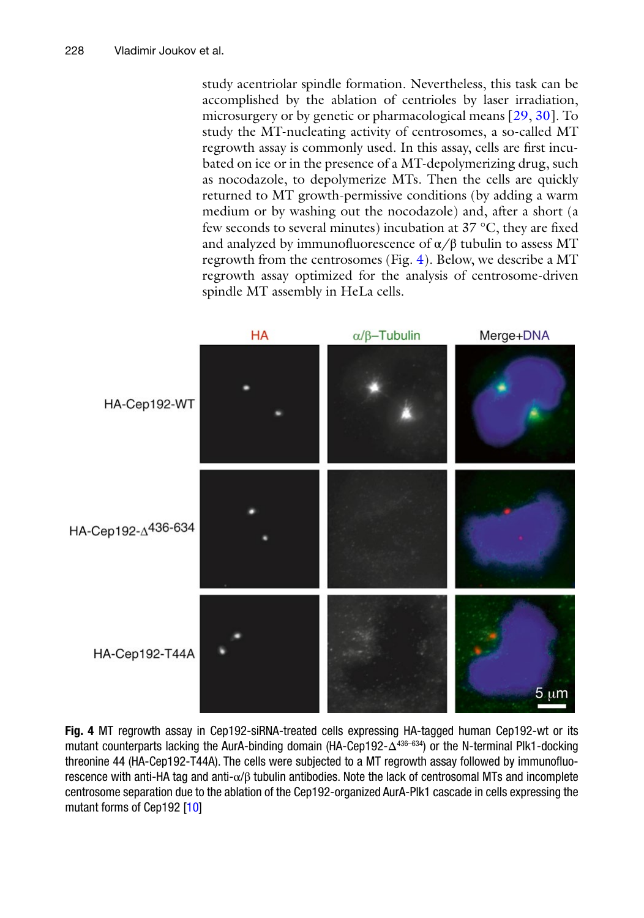study acentriolar spindle formation. Nevertheless, this task can be accomplished by the ablation of centrioles by laser irradiation, microsurgery or by genetic or pharmacological means [[29](#page-28-2), [30\]](#page-28-3). To study the MT-nucleating activity of centrosomes, a so-called MT regrowth assay is commonly used. In this assay, cells are first incubated on ice or in the presence of a MT-depolymerizing drug, such as nocodazole, to depolymerize MTs. Then the cells are quickly returned to MT growth-permissive conditions (by adding a warm medium or by washing out the nocodazole) and, after a short (a few seconds to several minutes) incubation at 37 °C, they are fixed and analyzed by immunofluorescence of  $\alpha/\beta$  tubulin to assess MT regrowth from the centrosomes (Fig. [4\)](#page-21-0). Below, we describe a MT regrowth assay optimized for the analysis of centrosome-driven spindle MT assembly in HeLa cells.

<span id="page-21-0"></span>

**Fig. 4** MT regrowth assay in Cep192-siRNA-treated cells expressing HA-tagged human Cep192-wt or its mutant counterparts lacking the AurA-binding domain (HA-Cep192-Δ<sup>436–634</sup>) or the N-terminal Plk1-docking threonine 44 (HA-Cep192-T44A). The cells were subjected to a MT regrowth assay followed by immunofluorescence with anti-HA tag and anti- $\alpha/\beta$  tubulin antibodies. Note the lack of centrosomal MTs and incomplete centrosome separation due to the ablation of the Cep192-organized AurA-Plk1 cascade in cells expressing the mutant forms of Cep192 [\[10\]](#page-27-9)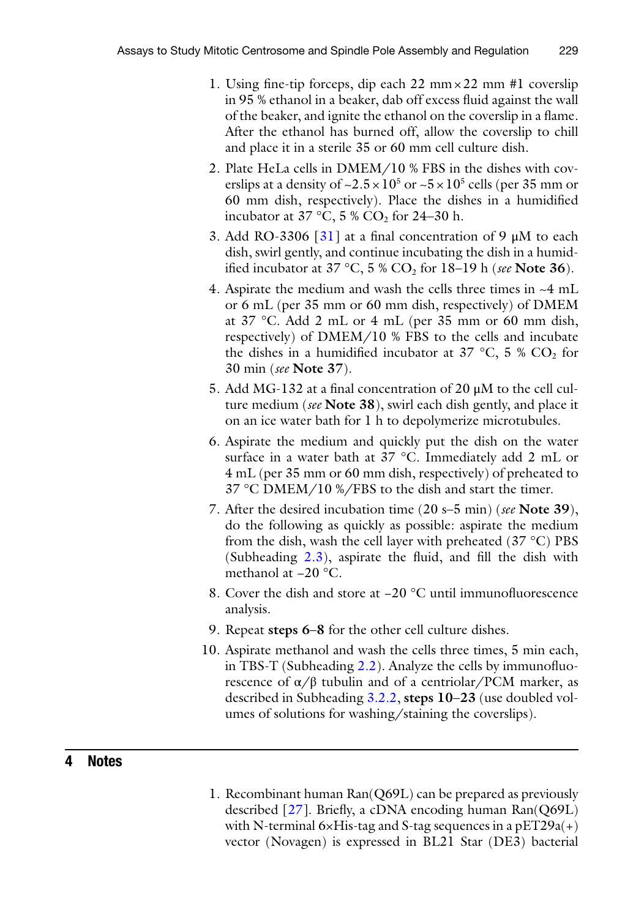- 1. Using fine-tip forceps, dip each 22 mm×22 mm #1 coverslip in 95 % ethanol in a beaker, dab off excess fluid against the wall of the beaker, and ignite the ethanol on the coverslip in a flame. After the ethanol has burned off, allow the coverslip to chill and place it in a sterile 35 or 60 mm cell culture dish.
- 2. Plate HeLa cells in DMEM/10 % FBS in the dishes with coverslips at a density of  $\approx 2.5 \times 10^5$  or  $\approx 5 \times 10^5$  cells (per 35 mm or 60 mm dish, respectively). Place the dishes in a humidified incubator at  $37 \text{ °C}, 5 \text{ % } CO_2$  for 24–30 h.
- 3. Add RO-3306 [[31](#page-28-4)] at a final concentration of 9  $\mu$ M to each dish, swirl gently, and continue incubating the dish in a humidified incubator at 37 °C, 5 % CO2 for 18–19 h (*see* **Note 36**).
- 4. Aspirate the medium and wash the cells three times in ~4 mL or 6 mL (per 35 mm or 60 mm dish, respectively) of DMEM at 37 °C. Add 2 mL or 4 mL (per 35 mm or 60 mm dish, respectively) of DMEM/10 % FBS to the cells and incubate the dishes in a humidified incubator at 37 °C, 5 %  $CO<sub>2</sub>$  for 30 min (*see* **Note 37**).
- 5. Add MG-132 at a final concentration of 20 μM to the cell culture medium (*see* **Note 38**), swirl each dish gently, and place it on an ice water bath for 1 h to depolymerize microtubules.
- 6. Aspirate the medium and quickly put the dish on the water surface in a water bath at 37 °C. Immediately add 2 mL or 4 mL (per 35 mm or 60 mm dish, respectively) of preheated to 37 °C DMEM/10 %/FBS to the dish and start the timer.
- 7. After the desired incubation time (20 s–5 min) (*see* **Note 39**), do the following as quickly as possible: aspirate the medium from the dish, wash the cell layer with preheated  $(37 \degree C)$  PBS (Subheading [2.3](#page-5-0)), aspirate the fluid, and fill the dish with methanol at −20 °C.
- 8. Cover the dish and store at −20 °C until immunofluorescence analysis.
- 9. Repeat **steps 6**–**8** for the other cell culture dishes.
- 10. Aspirate methanol and wash the cells three times, 5 min each, in TBS-T (Subheading [2.2](#page-4-0)). Analyze the cells by immunofluorescence of  $\alpha/\beta$  tubulin and of a centriolar/PCM marker, as described in Subheading [3.2.2](#page-11-0), **steps 10**–**23** (use doubled volumes of solutions for washing/staining the coverslips).

# **4 Notes**

1. Recombinant human Ran(Q69L) can be prepared as previously described [[27\]](#page-27-23). Briefly, a cDNA encoding human Ran(Q69L) with N-terminal  $6 \times His$ -tag and S-tag sequences in a pET29a(+) vector (Novagen) is expressed in BL21 Star (DE3) bacterial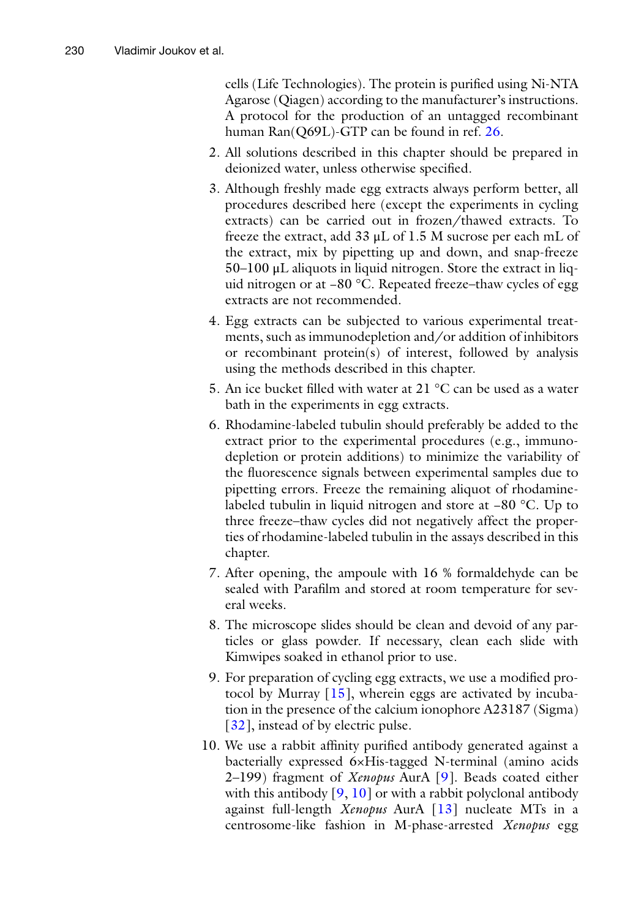cells (Life Technologies). The protein is purified using Ni-NTA Agarose (Qiagen) according to the manufacturer's instructions. A protocol for the production of an untagged recombinant human Ran(Q69L)-GTP can be found in ref. [26](#page-27-22).

- 2. All solutions described in this chapter should be prepared in deionized water, unless otherwise specified.
- 3. Although freshly made egg extracts always perform better, all procedures described here (except the experiments in cycling extracts) can be carried out in frozen/thawed extracts. To freeze the extract, add 33 μL of 1.5 M sucrose per each mL of the extract, mix by pipetting up and down, and snap-freeze 50–100 μL aliquots in liquid nitrogen. Store the extract in liquid nitrogen or at −80 °C. Repeated freeze–thaw cycles of egg extracts are not recommended.
- 4. Egg extracts can be subjected to various experimental treatments, such as immunodepletion and/or addition of inhibitors or recombinant protein(s) of interest, followed by analysis using the methods described in this chapter.
- 5. An ice bucket filled with water at 21 °C can be used as a water bath in the experiments in egg extracts.
- 6. Rhodamine-labeled tubulin should preferably be added to the extract prior to the experimental procedures (e.g., immunodepletion or protein additions) to minimize the variability of the fluorescence signals between experimental samples due to pipetting errors. Freeze the remaining aliquot of rhodaminelabeled tubulin in liquid nitrogen and store at −80 °C. Up to three freeze–thaw cycles did not negatively affect the properties of rhodamine-labeled tubulin in the assays described in this chapter.
- 7. After opening, the ampoule with 16 % formaldehyde can be sealed with Parafilm and stored at room temperature for several weeks.
- 8. The microscope slides should be clean and devoid of any particles or glass powder. If necessary, clean each slide with Kimwipes soaked in ethanol prior to use.
- 9. For preparation of cycling egg extracts, we use a modified protocol by Murray  $[15]$  $[15]$ , wherein eggs are activated by incubation in the presence of the calcium ionophore A23187 (Sigma) [[32](#page-28-5)], instead of by electric pulse.
- 10. We use a rabbit affinity purified antibody generated against a bacterially expressed 6×His-tagged N-terminal (amino acids 2–199) fragment of *Xenopus* AurA [[9\]](#page-27-8). Beads coated either with this antibody  $[9, 10]$  $[9, 10]$  $[9, 10]$  $[9, 10]$  or with a rabbit polyclonal antibody against full-length *Xenopus* AurA [[13\]](#page-27-12) nucleate MTs in a centrosome-like fashion in M-phase-arrested *Xenopus* egg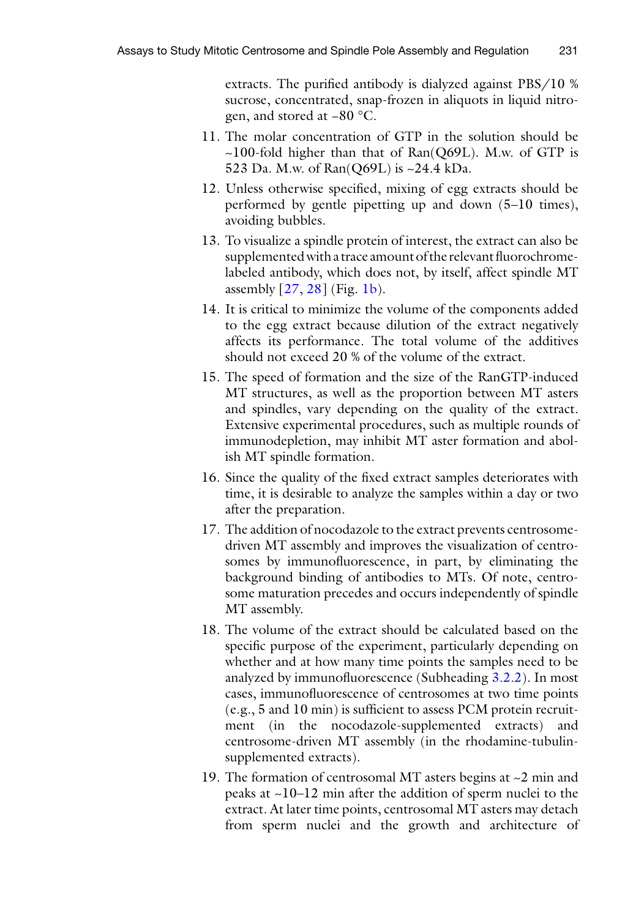extracts. The purified antibody is dialyzed against PBS/10 % sucrose, concentrated, snap-frozen in aliquots in liquid nitrogen, and stored at −80 °C.

- 11. The molar concentration of GTP in the solution should be  $\sim$ 100-fold higher than that of Ran(Q69L). M.w. of GTP is 523 Da. M.w. of Ran(Q69L) is ~24.4 kDa.
- 12. Unless otherwise specified, mixing of egg extracts should be performed by gentle pipetting up and down (5–10 times), avoiding bubbles.
- 13. To visualize a spindle protein of interest, the extract can also be supplemented with a trace amount of the relevant fluorochromelabeled antibody, which does not, by itself, affect spindle MT assembly [[27,](#page-27-23) [28](#page-28-0)] (Fig. [1b\)](#page-8-0).
- 14. It is critical to minimize the volume of the components added to the egg extract because dilution of the extract negatively affects its performance. The total volume of the additives should not exceed 20 % of the volume of the extract.
- 15. The speed of formation and the size of the RanGTP-induced MT structures, as well as the proportion between MT asters and spindles, vary depending on the quality of the extract. Extensive experimental procedures, such as multiple rounds of immunodepletion, may inhibit MT aster formation and abolish MT spindle formation.
- 16. Since the quality of the fixed extract samples deteriorates with time, it is desirable to analyze the samples within a day or two after the preparation.
- 17. The addition of nocodazole to the extract prevents centrosomedriven MT assembly and improves the visualization of centrosomes by immunofluorescence, in part, by eliminating the background binding of antibodies to MTs. Of note, centrosome maturation precedes and occurs independently of spindle MT assembly.
- 18. The volume of the extract should be calculated based on the specific purpose of the experiment, particularly depending on whether and at how many time points the samples need to be analyzed by immunofluorescence (Subheading [3.2.2](#page-11-0)). In most cases, immunofluorescence of centrosomes at two time points (e.g., 5 and 10 min) is sufficient to assess PCM protein recruitment (in the nocodazole-supplemented extracts) and centrosome-driven MT assembly (in the rhodamine-tubulinsupplemented extracts).
- 19. The formation of centrosomal MT asters begins at  $\sim$ 2 min and peaks at ~10–12 min after the addition of sperm nuclei to the extract. At later time points, centrosomal MT asters may detach from sperm nuclei and the growth and architecture of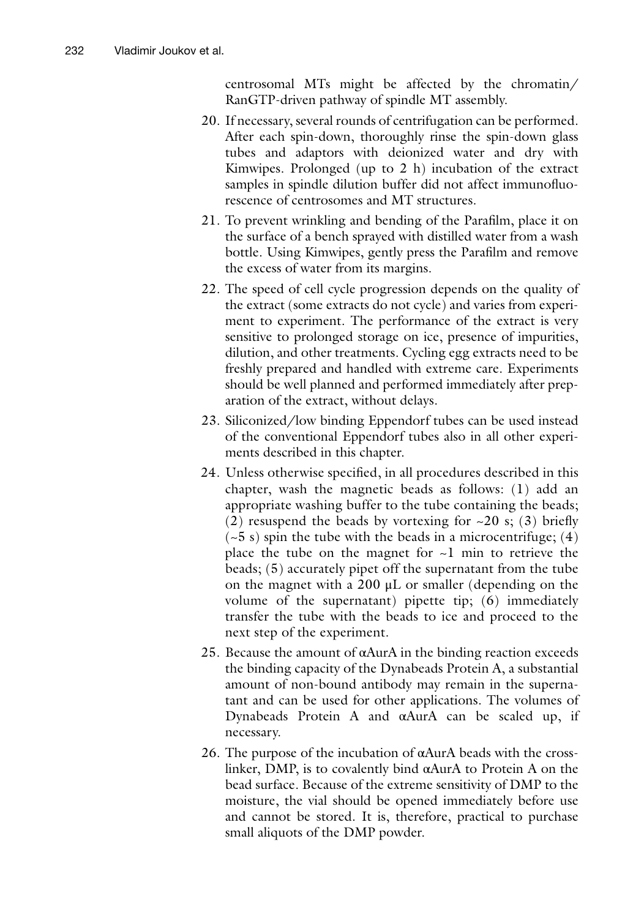centrosomal MTs might be affected by the chromatin/ RanGTP-driven pathway of spindle MT assembly.

- 20. If necessary, several rounds of centrifugation can be performed. After each spin-down, thoroughly rinse the spin-down glass tubes and adaptors with deionized water and dry with Kimwipes. Prolonged (up to 2 h) incubation of the extract samples in spindle dilution buffer did not affect immunofluorescence of centrosomes and MT structures.
- 21. To prevent wrinkling and bending of the Parafilm, place it on the surface of a bench sprayed with distilled water from a wash bottle. Using Kimwipes, gently press the Parafilm and remove the excess of water from its margins.
- 22. The speed of cell cycle progression depends on the quality of the extract (some extracts do not cycle) and varies from experiment to experiment. The performance of the extract is very sensitive to prolonged storage on ice, presence of impurities, dilution, and other treatments. Cycling egg extracts need to be freshly prepared and handled with extreme care. Experiments should be well planned and performed immediately after preparation of the extract, without delays.
- 23. Siliconized/low binding Eppendorf tubes can be used instead of the conventional Eppendorf tubes also in all other experiments described in this chapter.
- 24. Unless otherwise specified, in all procedures described in this chapter, wash the magnetic beads as follows: (1) add an appropriate washing buffer to the tube containing the beads; (2) resuspend the beads by vortexing for  $\sim$  20 s; (3) briefly  $(-5 s)$  spin the tube with the beads in a microcentrifuge; (4) place the tube on the magnet for  $\sim$ 1 min to retrieve the beads; (5) accurately pipet off the supernatant from the tube on the magnet with a 200 μL or smaller (depending on the volume of the supernatant) pipette tip; (6) immediately transfer the tube with the beads to ice and proceed to the next step of the experiment.
- 25. Because the amount of  $\alpha$ AurA in the binding reaction exceeds the binding capacity of the Dynabeads Protein A, a substantial amount of non-bound antibody may remain in the supernatant and can be used for other applications. The volumes of Dynabeads Protein A and αAurA can be scaled up, if necessary.
- 26. The purpose of the incubation of  $\alpha$ AurA beads with the crosslinker, DMP, is to covalently bind αAurA to Protein A on the bead surface. Because of the extreme sensitivity of DMP to the moisture, the vial should be opened immediately before use and cannot be stored. It is, therefore, practical to purchase small aliquots of the DMP powder.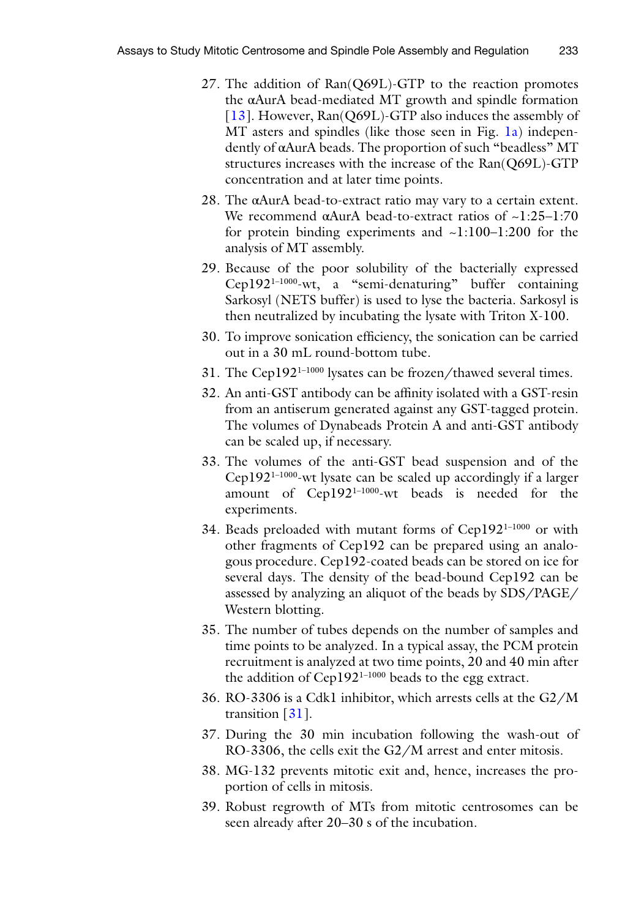- 27. The addition of Ran(Q69L)-GTP to the reaction promotes the αAurA bead-mediated MT growth and spindle formation [[13](#page-27-12)]. However, Ran(Q69L)-GTP also induces the assembly of MT asters and spindles (like those seen in Fig. [1a\)](#page-8-0) independently of αAurA beads. The proportion of such "beadless" MT structures increases with the increase of the Ran(Q69L)-GTP concentration and at later time points.
- 28. The αAurA bead-to-extract ratio may vary to a certain extent. We recommend  $\alpha$ AurA bead-to-extract ratios of  $\sim$ 1:25–1:70 for protein binding experiments and ~1:100–1:200 for the analysis of MT assembly.
- 29. Because of the poor solubility of the bacterially expressed Cep1921–1000-wt, a "semi-denaturing" buffer containing Sarkosyl (NETS buffer) is used to lyse the bacteria. Sarkosyl is then neutralized by incubating the lysate with Triton X-100.
- 30. To improve sonication efficiency, the sonication can be carried out in a 30 mL round-bottom tube.
- 31. The Cep1921–1000 lysates can be frozen/thawed several times.
- 32. An anti-GST antibody can be affinity isolated with a GST-resin from an antiserum generated against any GST-tagged protein. The volumes of Dynabeads Protein A and anti-GST antibody can be scaled up, if necessary.
- 33. The volumes of the anti-GST bead suspension and of the Cep1921–1000-wt lysate can be scaled up accordingly if a larger amount of Cep192<sup>1-1000</sup>-wt beads is needed for the experiments.
- 34. Beads preloaded with mutant forms of Cep192<sup>1-1000</sup> or with other fragments of Cep192 can be prepared using an analogous procedure. Cep192-coated beads can be stored on ice for several days. The density of the bead-bound Cep192 can be assessed by analyzing an aliquot of the beads by SDS/PAGE/ Western blotting.
- 35. The number of tubes depends on the number of samples and time points to be analyzed. In a typical assay, the PCM protein recruitment is analyzed at two time points, 20 and 40 min after the addition of Cep192<sup>1-1000</sup> beads to the egg extract.
- 36. RO-3306 is a Cdk1 inhibitor, which arrests cells at the G2/M transition [\[31\]](#page-28-4).
- 37. During the 30 min incubation following the wash-out of RO-3306, the cells exit the G2/M arrest and enter mitosis.
- 38. MG-132 prevents mitotic exit and, hence, increases the proportion of cells in mitosis.
- 39. Robust regrowth of MTs from mitotic centrosomes can be seen already after 20–30 s of the incubation.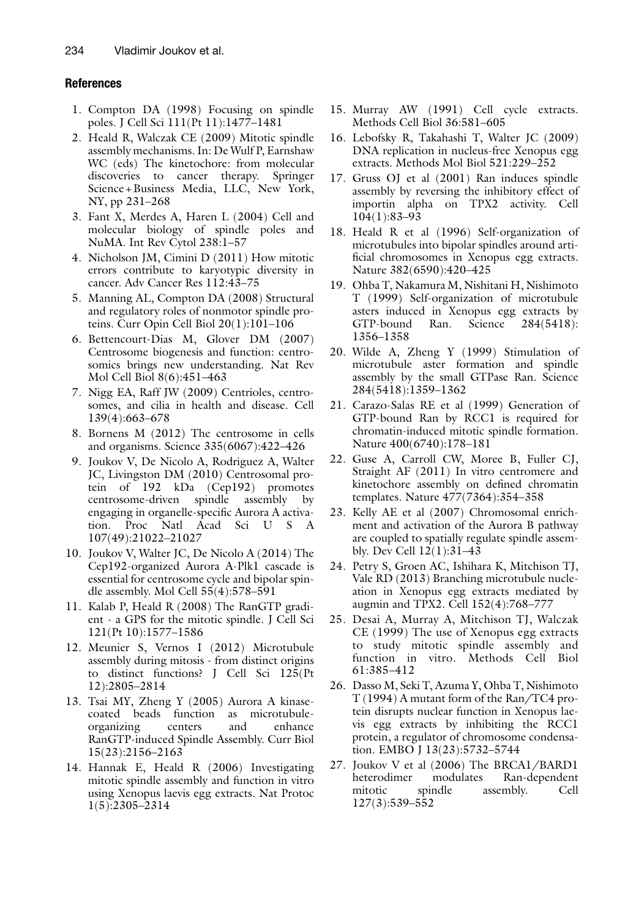#### **References**

- <span id="page-27-0"></span>1. Compton DA (1998) Focusing on spindle poles. J Cell Sci 111(Pt 11):1477–1481
- <span id="page-27-1"></span>2. Heald R, Walczak CE (2009) Mitotic spindle assembly mechanisms. In: De Wulf P, Earnshaw WC (eds) The kinetochore: from molecular discoveries to cancer therapy. Springer Science+Business Media, LLC, New York, NY, pp 231–268
- <span id="page-27-2"></span>3. Fant X, Merdes A, Haren L (2004) Cell and molecular biology of spindle poles and NuMA. Int Rev Cytol 238:1–57
- <span id="page-27-3"></span>4. Nicholson JM, Cimini D (2011) How mitotic errors contribute to karyotypic diversity in cancer. Adv Cancer Res 112:43–75
- <span id="page-27-4"></span>5. Manning AL, Compton DA (2008) Structural and regulatory roles of nonmotor spindle proteins. Curr Opin Cell Biol 20(1):101–106
- <span id="page-27-5"></span>6. Bettencourt-Dias M, Glover DM (2007) Centrosome biogenesis and function: centrosomics brings new understanding. Nat Rev Mol Cell Biol 8(6):451–463
- <span id="page-27-7"></span>7. Nigg EA, Raff JW (2009) Centrioles, centrosomes, and cilia in health and disease. Cell 139(4):663–678
- <span id="page-27-6"></span>8. Bornens M (2012) The centrosome in cells and organisms. Science 335(6067):422–426
- <span id="page-27-8"></span>9. Joukov V, De Nicolo A, Rodriguez A, Walter JC, Livingston DM (2010) Centrosomal protein of 192 kDa (Cep192) promotes centrosome-driven spindle assembly by engaging in organelle-specific Aurora A activation. Proc Natl Acad Sci U S A 107(49):21022–21027
- <span id="page-27-9"></span>10. Joukov V, Walter JC, De Nicolo A (2014) The Cep192-organized Aurora A-Plk1 cascade is essential for centrosome cycle and bipolar spindle assembly. Mol Cell 55(4):578–591
- <span id="page-27-10"></span>11. Kalab P, Heald R (2008) The RanGTP gradient - a GPS for the mitotic spindle. J Cell Sci 121(Pt 10):1577–1586
- <span id="page-27-11"></span>12. Meunier S, Vernos I (2012) Microtubule assembly during mitosis - from distinct origins to distinct functions? J Cell Sci 125(Pt 12):2805–2814
- <span id="page-27-12"></span>13. Tsai MY, Zheng Y (2005) Aurora A kinasecoated beads function as microtubuleorganizing centers and enhance RanGTP-induced Spindle Assembly. Curr Biol 15(23):2156–2163
- <span id="page-27-13"></span>14. Hannak E, Heald R (2006) Investigating mitotic spindle assembly and function in vitro using Xenopus laevis egg extracts. Nat Protoc 1(5):2305–2314
- <span id="page-27-14"></span>15. Murray AW (1991) Cell cycle extracts. Methods Cell Biol 36:581–605
- <span id="page-27-15"></span>16. Lebofsky R, Takahashi T, Walter JC (2009) DNA replication in nucleus-free Xenopus egg extracts. Methods Mol Biol 521:229–252
- <span id="page-27-16"></span>17. Gruss OJ et al (2001) Ran induces spindle assembly by reversing the inhibitory effect of importin alpha on TPX2 activity. Cell 104(1):83–93
- <span id="page-27-24"></span>18. Heald R et al (1996) Self-organization of microtubules into bipolar spindles around artificial chromosomes in Xenopus egg extracts. Nature 382(6590):420–425
- 19. Ohba T, Nakamura M, Nishitani H, Nishimoto T (1999) Self-organization of microtubule asters induced in Xenopus egg extracts by GTP-bound Ran. Science 284(5418): 1356–1358
- <span id="page-27-25"></span>20. Wilde A, Zheng Y (1999) Stimulation of microtubule aster formation and spindle assembly by the small GTPase Ran. Science 284(5418):1359–1362
- <span id="page-27-17"></span>21. Carazo-Salas RE et al (1999) Generation of GTP-bound Ran by RCC1 is required for chromatin-induced mitotic spindle formation. Nature 400(6740):178–181
- <span id="page-27-18"></span>22. Guse A, Carroll CW, Moree B, Fuller CJ, Straight AF (2011) In vitro centromere and kinetochore assembly on defined chromatin templates. Nature 477(7364):354–358
- <span id="page-27-19"></span>23. Kelly AE et al (2007) Chromosomal enrichment and activation of the Aurora B pathway are coupled to spatially regulate spindle assembly. Dev Cell 12(1):31–43
- <span id="page-27-20"></span>24. Petry S, Groen AC, Ishihara K, Mitchison TJ, Vale RD (2013) Branching microtubule nucleation in Xenopus egg extracts mediated by augmin and TPX2. Cell 152(4):768–777
- <span id="page-27-21"></span>25. Desai A, Murray A, Mitchison TJ, Walczak CE (1999) The use of Xenopus egg extracts to study mitotic spindle assembly and function in vitro. Methods Cell Biol 61:385–412
- <span id="page-27-22"></span>26. Dasso M, Seki T, Azuma Y, Ohba T, Nishimoto T (1994) A mutant form of the Ran/TC4 protein disrupts nuclear function in Xenopus laevis egg extracts by inhibiting the RCC1 protein, a regulator of chromosome condensation. EMBO J 13(23):5732–5744
- <span id="page-27-23"></span>27. Joukov V et al (2006) The BRCA1/BARD1 heterodimer modulates Ran-dependent mitotic spindle assembly. Cell 127(3):539–552